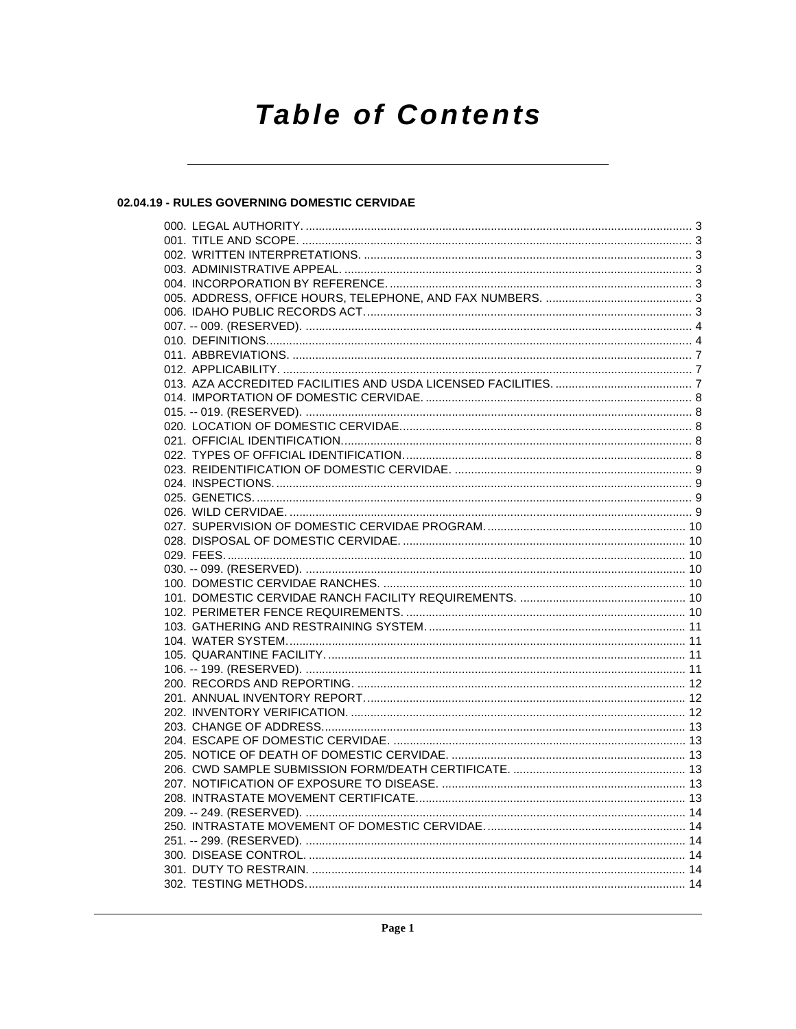# **Table of Contents**

# 02.04.19 - RULES GOVERNING DOMESTIC CERVIDAE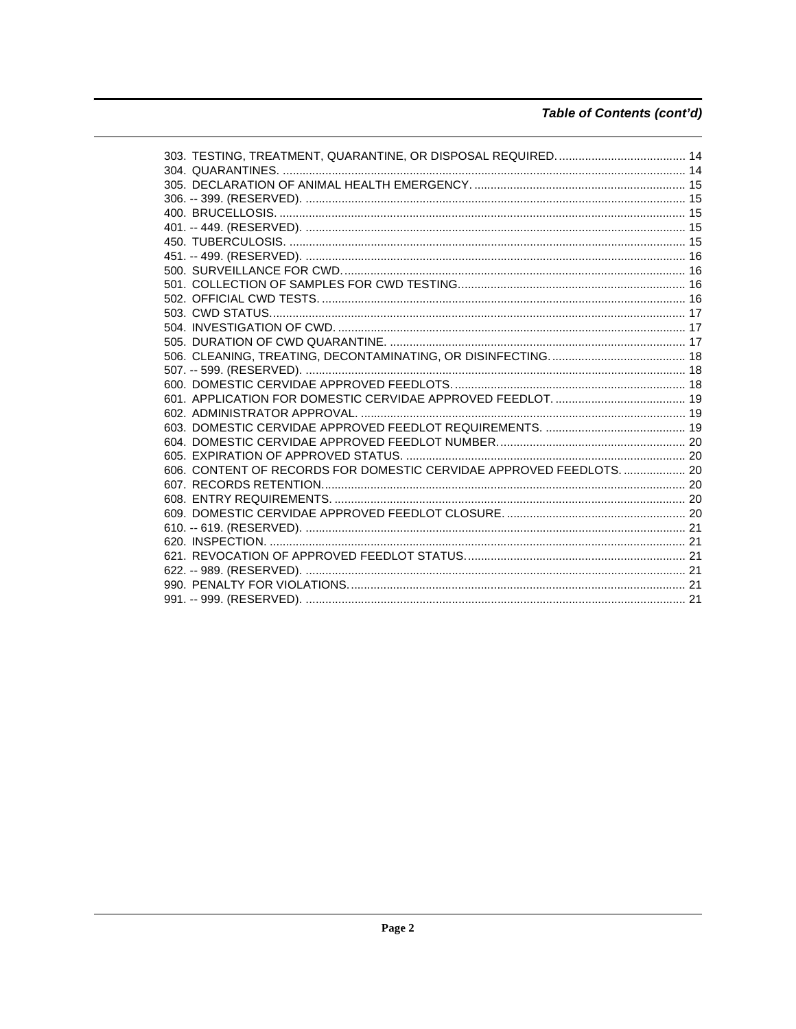# Table of Contents (cont'd)

| 606. CONTENT OF RECORDS FOR DOMESTIC CERVIDAE APPROVED FEEDLOTS.  20 |  |
|----------------------------------------------------------------------|--|
|                                                                      |  |
|                                                                      |  |
|                                                                      |  |
|                                                                      |  |
|                                                                      |  |
|                                                                      |  |
|                                                                      |  |
|                                                                      |  |
|                                                                      |  |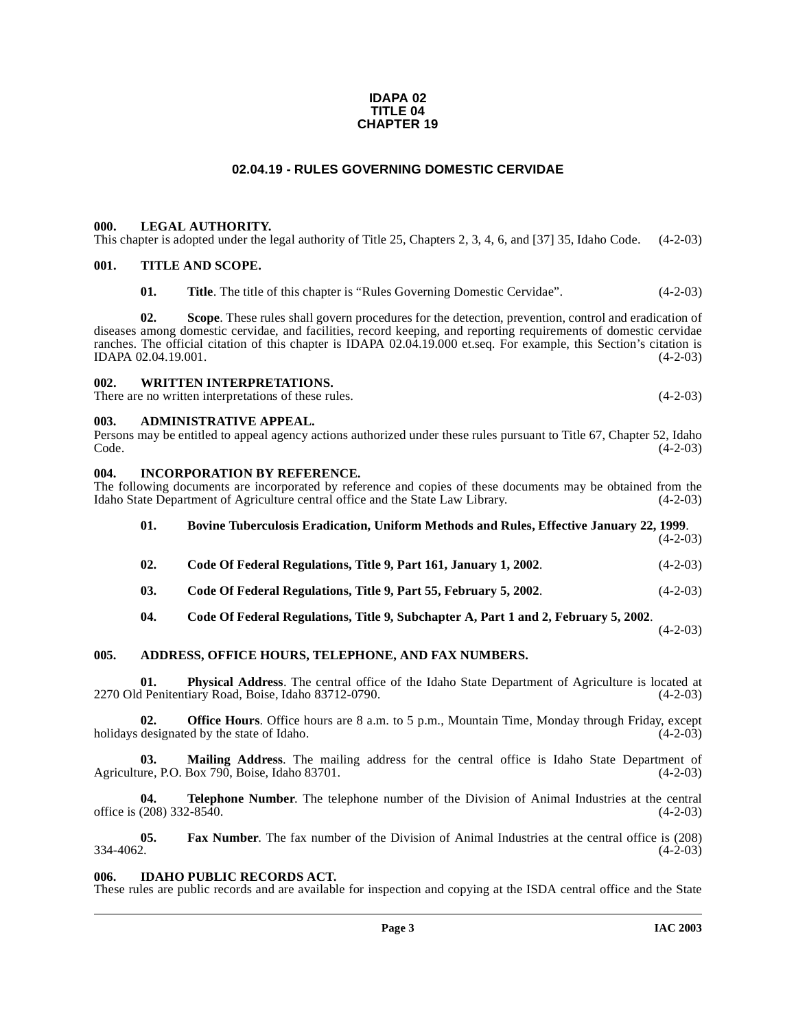#### **IDAPA 02 TITLE 04 CHAPTER 19**

# **02.04.19 - RULES GOVERNING DOMESTIC CERVIDAE**

## <span id="page-2-1"></span><span id="page-2-0"></span>**000. LEGAL AUTHORITY.**

This chapter is adopted under the legal authority of Title 25, Chapters 2, 3, 4, 6, and [37] 35, Idaho Code. (4-2-03)

#### <span id="page-2-2"></span>**001. TITLE AND SCOPE.**

**01.** Title. The title of this chapter is "Rules Governing Domestic Cervidae". (4-2-03)

**02. Scope**. These rules shall govern procedures for the detection, prevention, control and eradication of diseases among domestic cervidae, and facilities, record keeping, and reporting requirements of domestic cervidae ranches. The official citation of this chapter is IDAPA 02.04.19.000 et.seq. For example, this Section's citation is IDAPA 02.04.19.001. (4-2-03) IDAPA 02.04.19.001.

#### <span id="page-2-3"></span>**002. WRITTEN INTERPRETATIONS.**

There are no written interpretations of these rules. (4-2-03)

#### <span id="page-2-4"></span>**003. ADMINISTRATIVE APPEAL.**

Persons may be entitled to appeal agency actions authorized under these rules pursuant to Title 67, Chapter 52, Idaho  $\text{Code.}$  (4-2-03)

#### <span id="page-2-5"></span>**004. INCORPORATION BY REFERENCE.**

The following documents are incorporated by reference and copies of these documents may be obtained from the Idaho State Department of Agriculture central office and the State Law Library. (4-2-03)

| 01. | <b>Bovine Tuberculosis Eradication, Uniform Methods and Rules, Effective January 22, 1999.</b> | $(4-2-03)$ |
|-----|------------------------------------------------------------------------------------------------|------------|
| 02. | Code Of Federal Regulations, Title 9, Part 161, January 1, 2002.                               | $(4-2-03)$ |
| 03. | Code Of Federal Regulations, Title 9, Part 55, February 5, 2002.                               | $(4-2-03)$ |
| 04. | Code Of Federal Regulations, Title 9, Subchapter A, Part 1 and 2, February 5, 2002.            |            |

 $(4-2-03)$ 

#### <span id="page-2-6"></span>**005. ADDRESS, OFFICE HOURS, TELEPHONE, AND FAX NUMBERS.**

**01. Physical Address**. The central office of the Idaho State Department of Agriculture is located at 2270 Old Penitentiary Road, Boise, Idaho 83712-0790. (4-2-03)

**02. Office Hours**. Office hours are 8 a.m. to 5 p.m., Mountain Time, Monday through Friday, except holidays designated by the state of Idaho. (4-2-03)

**03.** Mailing Address. The mailing address for the central office is Idaho State Department of are, P.O. Box 790, Boise, Idaho 83701. (4-2-03) Agriculture, P.O. Box 790, Boise, Idaho 83701.

**04. Telephone Number**. The telephone number of the Division of Animal Industries at the central office is  $(208)$  332-8540. (4-2-03)

**05.** Fax Number. The fax number of the Division of Animal Industries at the central office is (208) 334-4062.  $334-4062.$  (4-2-03)

#### <span id="page-2-7"></span>**006. IDAHO PUBLIC RECORDS ACT.**

These rules are public records and are available for inspection and copying at the ISDA central office and the State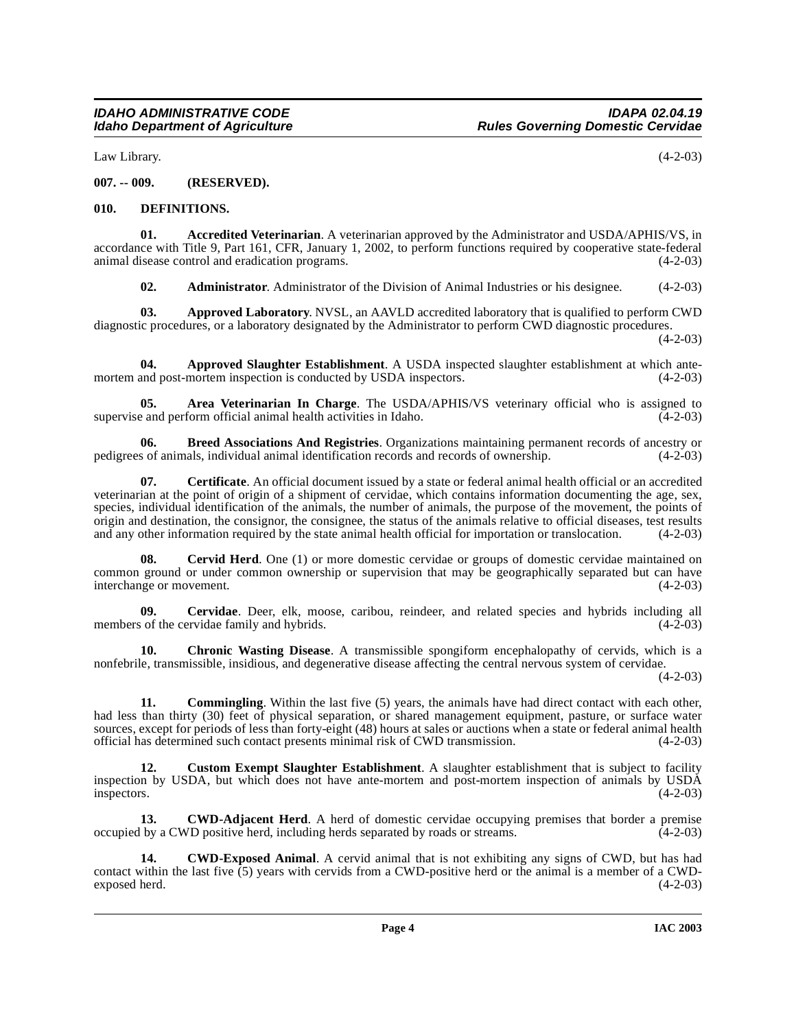Law Library. (4-2-03)

# <span id="page-3-0"></span>**007. -- 009. (RESERVED).**

## <span id="page-3-12"></span><span id="page-3-1"></span>**010. DEFINITIONS.**

**01. Accredited Veterinarian**. A veterinarian approved by the Administrator and USDA/APHIS/VS, in accordance with Title 9, Part 161, CFR, January 1, 2002, to perform functions required by cooperative state-federal animal disease control and eradication programs. animal disease control and eradication programs.

<span id="page-3-3"></span><span id="page-3-2"></span>**02.** Administrator. Administrator of the Division of Animal Industries or his designee. (4-2-03)

**03. Approved Laboratory**. NVSL, an AAVLD accredited laboratory that is qualified to perform CWD diagnostic procedures, or a laboratory designated by the Administrator to perform CWD diagnostic procedures.

 $(4-2-03)$ 

**04.** Approved Slaughter Establishment. A USDA inspected slaughter establishment at which ante-<br>and post-mortem inspection is conducted by USDA inspectors. (4-2-03) mortem and post-mortem inspection is conducted by USDA inspectors.

<span id="page-3-4"></span>**Area Veterinarian In Charge**. The USDA/APHIS/VS veterinary official who is assigned to form official animal health activities in Idaho. (4-2-03) supervise and perform official animal health activities in Idaho.

<span id="page-3-5"></span>**06. Breed Associations And Registries**. Organizations maintaining permanent records of ancestry or pedigrees of animals, individual animal identification records and records of ownership.

**07. Certificate**. An official document issued by a state or federal animal health official or an accredited veterinarian at the point of origin of a shipment of cervidae, which contains information documenting the age, sex, species, individual identification of the animals, the number of animals, the purpose of the movement, the points of origin and destination, the consignor, the consignee, the status of the animals relative to official diseases, test results and any other information required by the state animal health official for importation or translocation. (4-2-03)

<span id="page-3-8"></span>**08.** Cervid Herd. One (1) or more domestic cervidae or groups of domestic cervidae maintained on common ground or under common ownership or supervision that may be geographically separated but can have interchange or movement. (4-2-03)

**09.** Cervidae. Deer, elk, moose, caribou, reindeer, and related species and hybrids including all of the cervidae family and hybrids. (4-2-03) members of the cervidae family and hybrids.

<span id="page-3-9"></span>**10. Chronic Wasting Disease**. A transmissible spongiform encephalopathy of cervids, which is a nonfebrile, transmissible, insidious, and degenerative disease affecting the central nervous system of cervidae.

 $(4-2-03)$ 

<span id="page-3-10"></span>**11. Commingling**. Within the last five (5) years, the animals have had direct contact with each other, had less than thirty (30) feet of physical separation, or shared management equipment, pasture, or surface water sources, except for periods of less than forty-eight (48) hours at sales or auctions when a state or federal animal health official has determined such contact presents minimal risk of CWD transmission. (4-2-03) official has determined such contact presents minimal risk of CWD transmission.

<span id="page-3-11"></span>**12. Custom Exempt Slaughter Establishment**. A slaughter establishment that is subject to facility inspection by USDA, but which does not have ante-mortem and post-mortem inspection of animals by USDA inspectors. (4-2-03)

<span id="page-3-6"></span>**13. CWD-Adjacent Herd**. A herd of domestic cervidae occupying premises that border a premise occupied by a CWD positive herd, including herds separated by roads or streams. (4-2-03)

<span id="page-3-7"></span>**14. CWD-Exposed Animal**. A cervid animal that is not exhibiting any signs of CWD, but has had contact within the last five  $(5)$  years with cervids from a CWD-positive herd or the animal is a member of a CWD-<br>exposed herd. (4-2-03) exposed herd.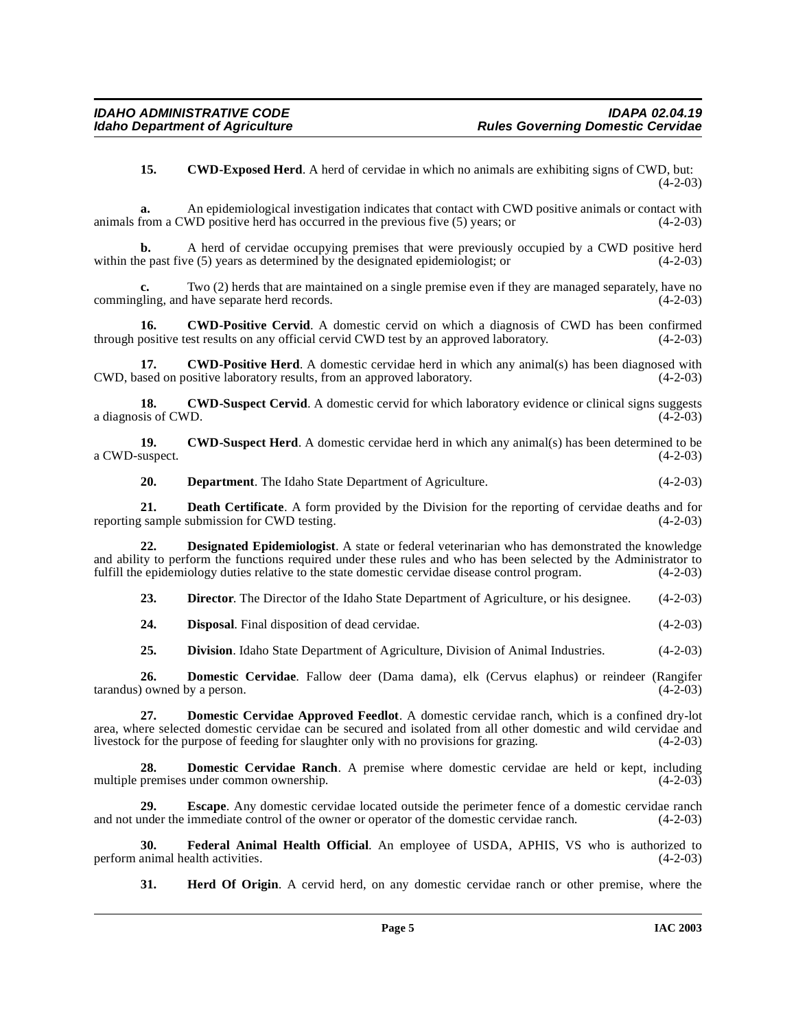<span id="page-4-0"></span>**15. CWD-Exposed Herd**. A herd of cervidae in which no animals are exhibiting signs of CWD, but:  $(4-2-03)$ 

**a.** An epidemiological investigation indicates that contact with CWD positive animals or contact with animals from a CWD positive herd has occurred in the previous five (5) years; or (4-2-03)

**b.** A herd of cervidae occupying premises that were previously occupied by a CWD positive herd within the past five (5) years as determined by the designated epidemiologist; or (4-2-03)

Two (2) herds that are maintained on a single premise even if they are managed separately, have no l have separate herd records. (4-2-03) commingling, and have separate herd records.

<span id="page-4-1"></span>**16.** CWD-Positive Cervid. A domestic cervid on which a diagnosis of CWD has been confirmed through positive test results on any official cervid CWD test by an approved laboratory. (4-2-03)

<span id="page-4-2"></span>**17. CWD-Positive Herd**. A domestic cervidae herd in which any animal(s) has been diagnosed with assed on positive laboratory results, from an approved laboratory. (4-2-03) CWD, based on positive laboratory results, from an approved laboratory.

<span id="page-4-3"></span>**18. CWD-Suspect Cervid**. A domestic cervid for which laboratory evidence or clinical signs suggests sis of CWD. (4-2-03) a diagnosis of CWD.

**19. CWD-Suspect Herd**. A domestic cervidae herd in which any animal(s) has been determined to be (4-2-03) a CWD-suspect.

<span id="page-4-5"></span><span id="page-4-4"></span>**20. Department**. The Idaho State Department of Agriculture. (4-2-03)

**21. Death Certificate**. A form provided by the Division for the reporting of cervidae deaths and for sample submission for CWD testing. (4-2-03) reporting sample submission for CWD testing.

**22. Designated Epidemiologist**. A state or federal veterinarian who has demonstrated the knowledge and ability to perform the functions required under these rules and who has been selected by the Administrator to fulfill the epidemiology duties relative to the state domestic cervidae disease control program. (4-2-03) fulfill the epidemiology duties relative to the state domestic cervidae disease control program.

**23. Director.** The Director of the Idaho State Department of Agriculture, or his designee. (4-2-03)

**24. Disposal**. Final disposition of dead cervidae. (4-2-03)

<span id="page-4-7"></span><span id="page-4-6"></span>25. **Division**. Idaho State Department of Agriculture, Division of Animal Industries. (4-2-03)

**26. Domestic Cervidae**. Fallow deer (Dama dama), elk (Cervus elaphus) or reindeer (Rangifer) owned by a person. (4-2-03) tarandus) owned by a person.

**27. Domestic Cervidae Approved Feedlot**. A domestic cervidae ranch, which is a confined dry-lot area, where selected domestic cervidae can be secured and isolated from all other domestic and wild cervidae and livestock for the purpose of feeding for slaughter only with no provisions for grazing. (4-2-03) livestock for the purpose of feeding for slaughter only with no provisions for grazing.

<span id="page-4-8"></span>**28. Domestic Cervidae Ranch**. A premise where domestic cervidae are held or kept, including multiple premises under common ownership. (4-2-03)

**29. Escape**. Any domestic cervidae located outside the perimeter fence of a domestic cervidae ranch and not under the immediate control of the owner or operator of the domestic cervidae ranch. (4-2-03)

**30. Federal Animal Health Official**. An employee of USDA, APHIS, VS who is authorized to perform animal health activities.

<span id="page-4-10"></span><span id="page-4-9"></span>**31. Herd Of Origin**. A cervid herd, on any domestic cervidae ranch or other premise, where the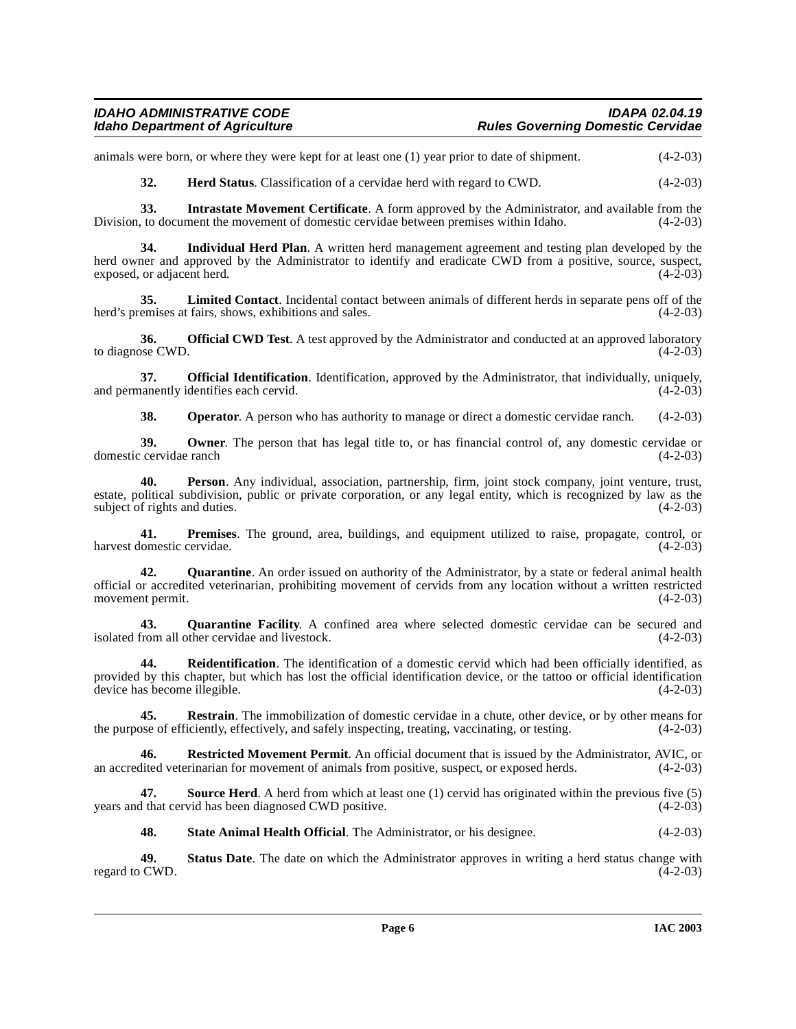# **IDAHO ADMINISTRATIVE CODE IDAPA 02.04.19 Rules Governing Domestic Cervidae**

animals were born, or where they were kept for at least one (1) year prior to date of shipment. (4-2-03)

<span id="page-5-1"></span><span id="page-5-0"></span>**32. Herd Status**. Classification of a cervidae herd with regard to CWD. (4-2-03)

**33. Intrastate Movement Certificate**. A form approved by the Administrator, and available from the Division, to document the movement of domestic cervidae between premises within Idaho. (4-2-03)

**34. Individual Herd Plan**. A written herd management agreement and testing plan developed by the herd owner and approved by the Administrator to identify and eradicate CWD from a positive, source, suspect, exposed, or adjacent herd. (4-2-03)

**35.** Limited Contact. Incidental contact between animals of different herds in separate pens off of the remises at fairs, shows, exhibitions and sales.  $(4-2-03)$ herd's premises at fairs, shows, exhibitions and sales.

<span id="page-5-2"></span>**36. Official CWD Test**. A test approved by the Administrator and conducted at an approved laboratory (4-2-03) to diagnose CWD.

**37. Official Identification**. Identification, approved by the Administrator, that individually, uniquely, and permanently identifies each cervid. (4-2-03)  $(4-2-03)$ 

<span id="page-5-3"></span>**38. Operator**. A person who has authority to manage or direct a domestic cervidae ranch. (4-2-03)

**39.** Owner. The person that has legal title to, or has financial control of, any domestic cervidae or cervidae ranch (4-2-03) domestic cervidae ranch

**40. Person**. Any individual, association, partnership, firm, joint stock company, joint venture, trust, estate, political subdivision, public or private corporation, or any legal entity, which is recognized by law as the subject of rights and duties.  $(4-2-03)$ 

**41. Premises**. The ground, area, buildings, and equipment utilized to raise, propagate, control, or lomestic cervidae. (4-2-03) harvest domestic cervidae.

**42. Quarantine**. An order issued on authority of the Administrator, by a state or federal animal health official or accredited veterinarian, prohibiting movement of cervids from any location without a written restricted movement permit.

<span id="page-5-4"></span>**43. Quarantine Facility**. A confined area where selected domestic cervidae can be secured and isolated from all other cervidae and livestock. (4-2-03)

<span id="page-5-5"></span>**44. Reidentification**. The identification of a domestic cervid which had been officially identified, as provided by this chapter, but which has lost the official identification device, or the tattoo or official identification device has become illegible. (4-2-03)

**45. Restrain**. The immobilization of domestic cervidae in a chute, other device, or by other means for ose of efficiently, effectively, and safely inspecting, treating, vaccinating, or testing. (4-2-03) the purpose of efficiently, effectively, and safely inspecting, treating, vaccinating, or testing.

<span id="page-5-6"></span>**46. Restricted Movement Permit**. An official document that is issued by the Administrator, AVIC, or an accredited veterinarian for movement of animals from positive, suspect, or exposed herds. (4-2-03)

**47.** Source Herd. A herd from which at least one (1) cervid has originated within the previous five (5) I that cervid has been diagnosed CWD positive. (4-2-03) years and that cervid has been diagnosed CWD positive.

<span id="page-5-7"></span>**48. State Animal Health Official**. The Administrator, or his designee. (4-2-03)

**49.** Status Date. The date on which the Administrator approves in writing a herd status change with CWD.  $(4-2-03)$ regard to CWD.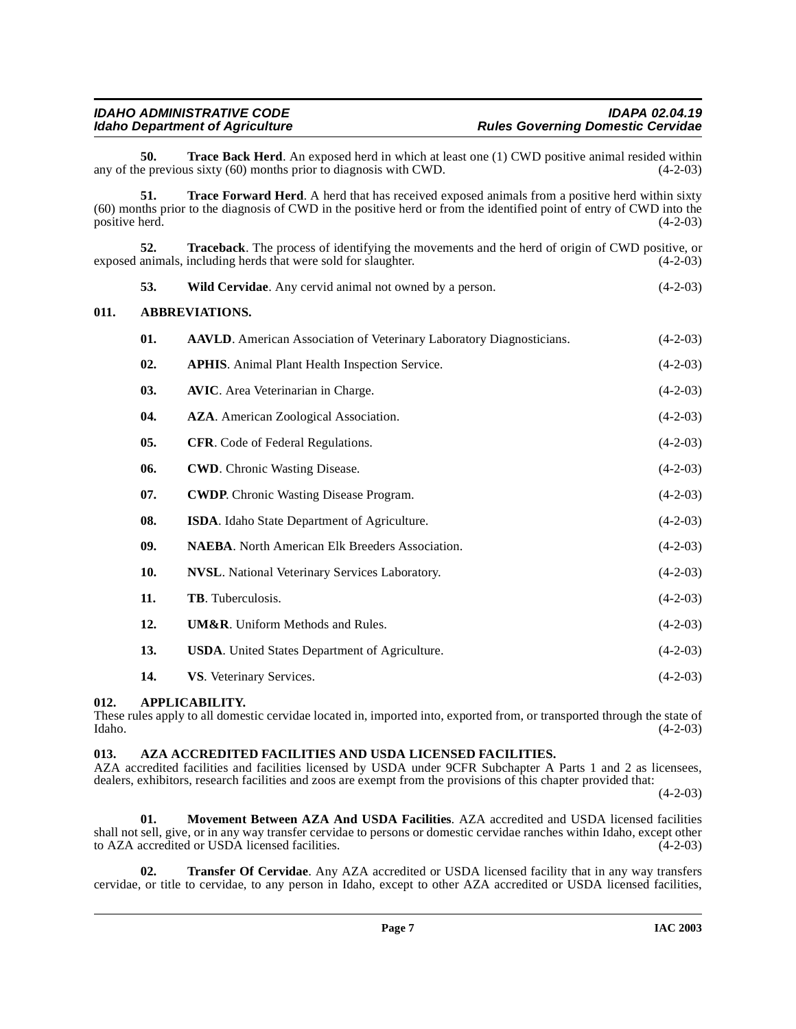<span id="page-6-6"></span>**50. Trace Back Herd**. An exposed herd in which at least one (1) CWD positive animal resided within e previous sixty (60) months prior to diagnosis with CWD.  $(4-2-03)$ any of the previous sixty  $(60)$  months prior to diagnosis with CWD.

<span id="page-6-7"></span>**51. Trace Forward Herd**. A herd that has received exposed animals from a positive herd within sixty (60) months prior to the diagnosis of CWD in the positive herd or from the identified point of entry of CWD into the positive herd. (4-2-03)

**52. Traceback**. The process of identifying the movements and the herd of origin of CWD positive, or exposed animals, including herds that were sold for slaughter. (4-2-03) **53.** Wild Cervidae. Any cervid animal not owned by a person. (4-2-03)

# <span id="page-6-0"></span>**011. ABBREVIATIONS.**

<span id="page-6-9"></span><span id="page-6-4"></span>

| 01. | <b>AAVLD.</b> American Association of Veterinary Laboratory Diagnosticians. | $(4-2-03)$ |
|-----|-----------------------------------------------------------------------------|------------|
| 02. | <b>APHIS.</b> Animal Plant Health Inspection Service.                       | $(4-2-03)$ |
| 03. | <b>AVIC.</b> Area Veterinarian in Charge.                                   | $(4-2-03)$ |
| 04. | <b>AZA</b> . American Zoological Association.                               | $(4-2-03)$ |
| 05. | <b>CFR.</b> Code of Federal Regulations.                                    | $(4-2-03)$ |
| 06. | <b>CWD.</b> Chronic Wasting Disease.                                        | $(4-2-03)$ |
| 07. | <b>CWDP.</b> Chronic Wasting Disease Program.                               | $(4-2-03)$ |
| 08. | ISDA. Idaho State Department of Agriculture.                                | $(4-2-03)$ |
| 09. | <b>NAEBA.</b> North American Elk Breeders Association.                      | $(4-2-03)$ |
| 10. | <b>NVSL.</b> National Veterinary Services Laboratory.                       | $(4-2-03)$ |
| 11. | TB. Tuberculosis.                                                           | $(4-2-03)$ |
| 12. | <b>UM&amp;R.</b> Uniform Methods and Rules.                                 | $(4-2-03)$ |
| 13. | <b>USDA.</b> United States Department of Agriculture.                       | $(4-2-03)$ |
| 14. | VS. Veterinary Services.                                                    | $(4-2-03)$ |
|     |                                                                             |            |

# <span id="page-6-1"></span>**012. APPLICABILITY.**

These rules apply to all domestic cervidae located in, imported into, exported from, or transported through the state of Idaho. (4-2-03) Idaho. (4-2-03)

#### <span id="page-6-3"></span><span id="page-6-2"></span>**013. AZA ACCREDITED FACILITIES AND USDA LICENSED FACILITIES.**

AZA accredited facilities and facilities licensed by USDA under 9CFR Subchapter A Parts 1 and 2 as licensees, dealers, exhibitors, research facilities and zoos are exempt from the provisions of this chapter provided that:

 $(4-2-03)$ 

<span id="page-6-5"></span>**01. Movement Between AZA And USDA Facilities**. AZA accredited and USDA licensed facilities shall not sell, give, or in any way transfer cervidae to persons or domestic cervidae ranches within Idaho, except other<br>to AZA accredited or USDA licensed facilities. to AZA accredited or USDA licensed facilities.

<span id="page-6-8"></span>**02. Transfer Of Cervidae**. Any AZA accredited or USDA licensed facility that in any way transfers cervidae, or title to cervidae, to any person in Idaho, except to other AZA accredited or USDA licensed facilities,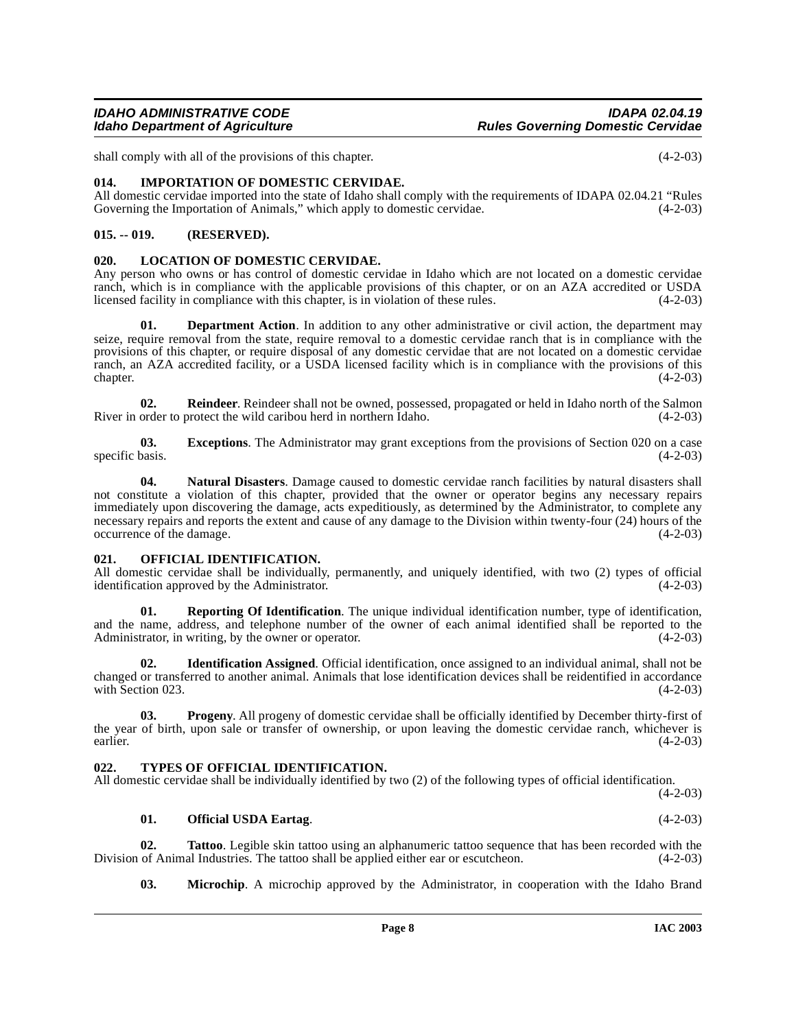shall comply with all of the provisions of this chapter. (4-2-03)

<span id="page-7-6"></span><span id="page-7-0"></span>**014. IMPORTATION OF DOMESTIC CERVIDAE.**

All domestic cervidae imported into the state of Idaho shall comply with the requirements of IDAPA 02.04.21 "Rules Governing the Importation of Animals," which apply to domestic cervidae. (4-2-03)

# <span id="page-7-1"></span>**015. -- 019. (RESERVED).**

## <span id="page-7-7"></span><span id="page-7-2"></span>**020. LOCATION OF DOMESTIC CERVIDAE.**

Any person who owns or has control of domestic cervidae in Idaho which are not located on a domestic cervidae ranch, which is in compliance with the applicable provisions of this chapter, or on an AZA accredited or USDA licensed facility in compliance with this chapter, is in violation of these rules. (4-2-03) licensed facility in compliance with this chapter, is in violation of these rules.

<span id="page-7-5"></span>**Department Action.** In addition to any other administrative or civil action, the department may seize, require removal from the state, require removal to a domestic cervidae ranch that is in compliance with the provisions of this chapter, or require disposal of any domestic cervidae that are not located on a domestic cervidae ranch, an AZA accredited facility, or a USDA licensed facility which is in compliance with the provisions of this chapter. (4-2-03)  $\epsilon$  (4-2-03)  $(4-2-03)$ 

<span id="page-7-12"></span>**02.** Reindeer. Reindeer shall not be owned, possessed, propagated or held in Idaho north of the Salmon order to protect the wild caribou herd in northern Idaho. (4-2-03) River in order to protect the wild caribou herd in northern Idaho.

**03. Exceptions**. The Administrator may grant exceptions from the provisions of Section 020 on a case specific basis.  $(4-2-03)$ 

<span id="page-7-9"></span>**04. Natural Disasters**. Damage caused to domestic cervidae ranch facilities by natural disasters shall not constitute a violation of this chapter, provided that the owner or operator begins any necessary repairs immediately upon discovering the damage, acts expeditiously, as determined by the Administrator, to complete any necessary repairs and reports the extent and cause of any damage to the Division within twenty-four (24) hours of the  $\alpha$  occurrence of the damage.  $(4-2-03)$ 

#### <span id="page-7-10"></span><span id="page-7-3"></span>**021. OFFICIAL IDENTIFICATION.**

All domestic cervidae shall be individually, permanently, and uniquely identified, with two (2) types of official identification approved by the Administrator. (4-2-03)

**01. Reporting Of Identification**. The unique individual identification number, type of identification, and the name, address, and telephone number of the owner of each animal identified shall be reported to the Administrator, in writing, by the owner or operator. (4-2-03) Administrator, in writing, by the owner or operator.

**02. Identification Assigned**. Official identification, once assigned to an individual animal, shall not be changed or transferred to another animal. Animals that lose identification devices shall be reidentified in accordance with Section 023.

**03. Progeny**. All progeny of domestic cervidae shall be officially identified by December thirty-first of the year of birth, upon sale or transfer of ownership, or upon leaving the domestic cervidae ranch, whichever is earlier. (4-2-03) earlier. (4-2-03)

#### <span id="page-7-14"></span><span id="page-7-4"></span>**022. TYPES OF OFFICIAL IDENTIFICATION.**

All domestic cervidae shall be individually identified by two (2) of the following types of official identification.

(4-2-03)

#### <span id="page-7-13"></span><span id="page-7-11"></span>**01. Official USDA Eartag**. (4-2-03)

**02. Tattoo**. Legible skin tattoo using an alphanumeric tattoo sequence that has been recorded with the of Animal Industries. The tattoo shall be applied either ear or escutcheon.  $(4-2-03)$ Division of Animal Industries. The tattoo shall be applied either ear or escutcheon.

<span id="page-7-8"></span>**03. Microchip**. A microchip approved by the Administrator, in cooperation with the Idaho Brand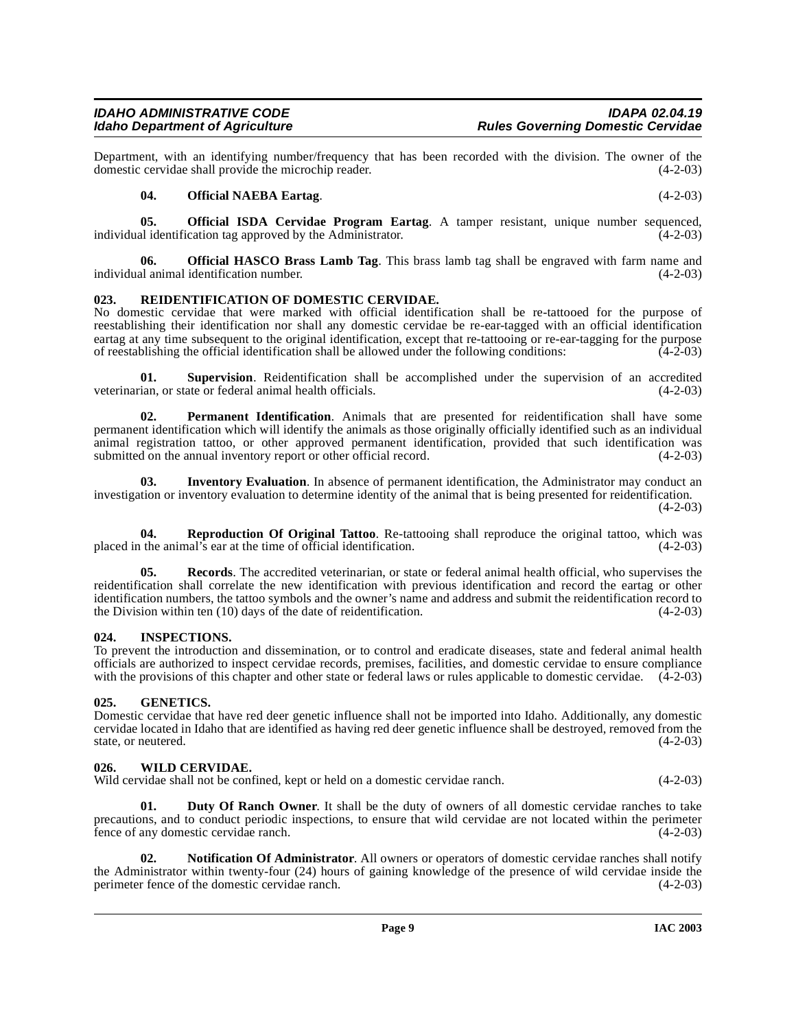Department, with an identifying number/frequency that has been recorded with the division. The owner of the domestic cervidae shall provide the microchip reader. (4-2-03) domestic cervidae shall provide the microchip reader.

## <span id="page-8-10"></span><span id="page-8-9"></span><span id="page-8-8"></span>**04. Official NAEBA Eartag**. (4-2-03)

**05. Official ISDA Cervidae Program Eartag**. A tamper resistant, unique number sequenced, al identification tag approved by the Administrator. (4-2-03) individual identification tag approved by the Administrator.

**06. Official HASCO Brass Lamb Tag**. This brass lamb tag shall be engraved with farm name and individual animal identification number. (4-2-03)

# <span id="page-8-12"></span><span id="page-8-0"></span>**023. REIDENTIFICATION OF DOMESTIC CERVIDAE.**

No domestic cervidae that were marked with official identification shall be re-tattooed for the purpose of reestablishing their identification nor shall any domestic cervidae be re-ear-tagged with an official identification eartag at any time subsequent to the original identification, except that re-tattooing or re-ear-tagging for the purpose of reestablishing the official identification shall be allowed under the following conditions: (4-2-0 of reestablishing the official identification shall be allowed under the following conditions:

<span id="page-8-14"></span>**01. Supervision**. Reidentification shall be accomplished under the supervision of an accredited veterinarian, or state or federal animal health officials. (4-2-03)

<span id="page-8-11"></span>**02. Permanent Identification**. Animals that are presented for reidentification shall have some permanent identification which will identify the animals as those originally officially identified such as an individual animal registration tattoo, or other approved permanent identification, provided that such identification was submitted on the annual inventory report or other official record.

<span id="page-8-6"></span>**03. Inventory Evaluation**. In absence of permanent identification, the Administrator may conduct an investigation or inventory evaluation to determine identity of the animal that is being presented for reidentification.  $(4-2-03)$ 

<span id="page-8-13"></span>**04. Reproduction Of Original Tattoo**. Re-tattooing shall reproduce the original tattoo, which was the animal's ear at the time of official identification. (4-2-03) placed in the animal's ear at the time of official identification.

**Records**. The accredited veterinarian, or state or federal animal health official, who supervises the reidentification shall correlate the new identification with previous identification and record the eartag or other identification numbers, the tattoo symbols and the owner's name and address and submit the reidentification record to the Division within ten (10) days of the date of reidentification. (4-2-03) the Division within ten  $(10)$  days of the date of reidentification.

# <span id="page-8-5"></span><span id="page-8-1"></span>**024. INSPECTIONS.**

To prevent the introduction and dissemination, or to control and eradicate diseases, state and federal animal health officials are authorized to inspect cervidae records, premises, facilities, and domestic cervidae to ensure compliance with the provisions of this chapter and other state or federal laws or rules applicable to domestic cervidae.  $(4-2-03)$ 

# <span id="page-8-2"></span>**025. GENETICS.**

Domestic cervidae that have red deer genetic influence shall not be imported into Idaho. Additionally, any domestic cervidae located in Idaho that are identified as having red deer genetic influence shall be destroyed, removed from the state, or neutered.

# <span id="page-8-15"></span><span id="page-8-3"></span>**026. WILD CERVIDAE.**

Wild cervidae shall not be confined, kept or held on a domestic cervidae ranch. (4-2-03)

<span id="page-8-4"></span>**01. Duty Of Ranch Owner**. It shall be the duty of owners of all domestic cervidae ranches to take precautions, and to conduct periodic inspections, to ensure that wild cervidae are not located within the perimeter fence of any domestic cervidae ranch. (4-2-03)

<span id="page-8-7"></span>**02. Notification Of Administrator**. All owners or operators of domestic cervidae ranches shall notify the Administrator within twenty-four (24) hours of gaining knowledge of the presence of wild cervidae inside the perimeter fence of the domestic cervidae ranch. (4-2-03) perimeter fence of the domestic cervidae ranch.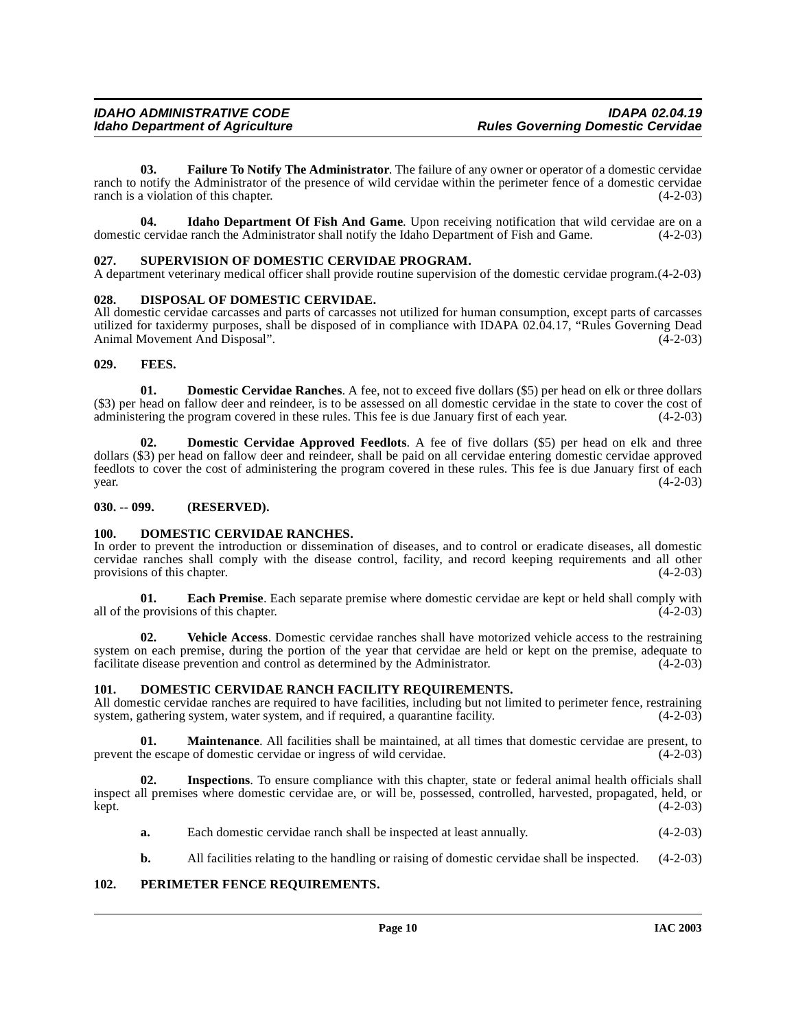<span id="page-9-12"></span>**03. Failure To Notify The Administrator**. The failure of any owner or operator of a domestic cervidae ranch to notify the Administrator of the presence of wild cervidae within the perimeter fence of a domestic cervidae ranch is a violation of this chapter.  $(4-2-03)$ 

**04.** Idaho Department Of Fish And Game. Upon receiving notification that wild cervidae are on a cervidae ranch the Administrator shall notify the Idaho Department of Fish and Game. (4-2-03) domestic cervidae ranch the Administrator shall notify the Idaho Department of Fish and Game.

## <span id="page-9-16"></span><span id="page-9-0"></span>**027. SUPERVISION OF DOMESTIC CERVIDAE PROGRAM.**

A department veterinary medical officer shall provide routine supervision of the domestic cervidae program.(4-2-03)

## <span id="page-9-7"></span><span id="page-9-1"></span>**028. DISPOSAL OF DOMESTIC CERVIDAE.**

All domestic cervidae carcasses and parts of carcasses not utilized for human consumption, except parts of carcasses utilized for taxidermy purposes, shall be disposed of in compliance with IDAPA 02.04.17, "Rules Governing Dead Animal Movement And Disposal". (4-2-03)

## <span id="page-9-13"></span><span id="page-9-2"></span>**029. FEES.**

<span id="page-9-11"></span>**01. Domestic Cervidae Ranches**. A fee, not to exceed five dollars (\$5) per head on elk or three dollars  $(\$3)$  per head on fallow deer and reindeer, is to be assessed on all domestic cervidae in the state to cover the cost of administering the program covered in these rules. This fee is due January first of each vear.  $(4-2$ administering the program covered in these rules. This fee is due January first of each year.

<span id="page-9-8"></span>**02. Domestic Cervidae Approved Feedlots**. A fee of five dollars (\$5) per head on elk and three dollars (\$3) per head on fallow deer and reindeer, shall be paid on all cervidae entering domestic cervidae approved feedlots to cover the cost of administering the program covered in these rules. This fee is due January first of each  $year.$  (4-2-03)

# <span id="page-9-3"></span>**030. -- 099. (RESERVED).**

# <span id="page-9-10"></span><span id="page-9-4"></span>**100. DOMESTIC CERVIDAE RANCHES.**

In order to prevent the introduction or dissemination of diseases, and to control or eradicate diseases, all domestic cervidae ranches shall comply with the disease control, facility, and record keeping requirements and all other provisions of this chapter.

**01. Each Premise**. Each separate premise where domestic cervidae are kept or held shall comply with all of the provisions of this chapter.  $(4-2-03)$ 

**02. Vehicle Access**. Domestic cervidae ranches shall have motorized vehicle access to the restraining system on each premise, during the portion of the year that cervidae are held or kept on the premise, adequate to facilitate disease prevention and control as determined by the Administrator. (4-2-03) facilitate disease prevention and control as determined by the Administrator.

# <span id="page-9-9"></span><span id="page-9-5"></span>**101. DOMESTIC CERVIDAE RANCH FACILITY REQUIREMENTS.**

All domestic cervidae ranches are required to have facilities, including but not limited to perimeter fence, restraining system, gathering system, water system, and if required, a quarantine facility. (4-2-03)

**01. Maintenance**. All facilities shall be maintained, at all times that domestic cervidae are present, to prevent the escape of domestic cervidae or ingress of wild cervidae. (4-2-03)

**02. Inspections**. To ensure compliance with this chapter, state or federal animal health officials shall inspect all premises where domestic cervidae are, or will be, possessed, controlled, harvested, propagated, held, or kept. (4-2-03)

- <span id="page-9-14"></span>**a.** Each domestic cervidae ranch shall be inspected at least annually. (4-2-03)
- <span id="page-9-15"></span>**b.** All facilities relating to the handling or raising of domestic cervidae shall be inspected.  $(4-2-03)$

# <span id="page-9-6"></span>**102. PERIMETER FENCE REQUIREMENTS.**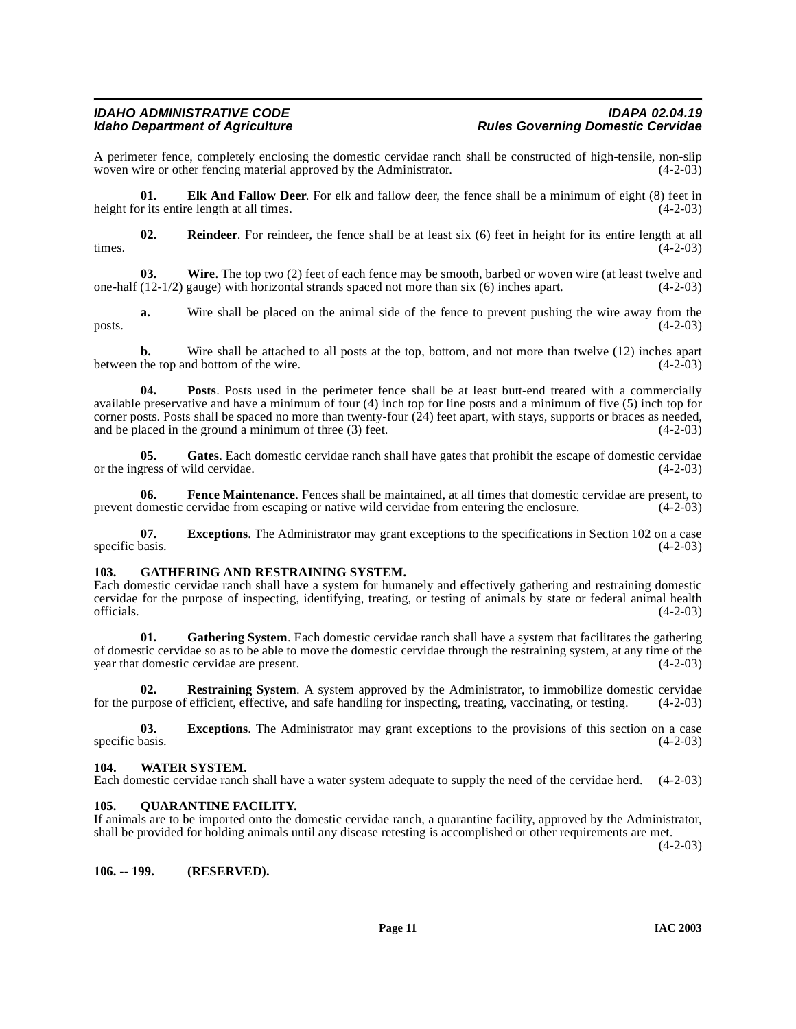A perimeter fence, completely enclosing the domestic cervidae ranch shall be constructed of high-tensile, non-slip woven wire or other fencing material approved by the Administrator. (4-2-03) woven wire or other fencing material approved by the Administrator.

<span id="page-10-4"></span>**01. Elk And Fallow Deer**. For elk and fallow deer, the fence shall be a minimum of eight (8) feet in height for its entire length at all times. (4-2-03)

<span id="page-10-10"></span>**02.** Reindeer. For reindeer, the fence shall be at least six (6) feet in height for its entire length at all (4-2-03) times.  $(4-2-03)$ 

<span id="page-10-12"></span>**03. Wire**. The top two (2) feet of each fence may be smooth, barbed or woven wire (at least twelve and one-half (12-1/2) gauge) with horizontal strands spaced not more than six (6) inches apart. (4-2-03)

**a.** Wire shall be placed on the animal side of the fence to prevent pushing the wire away from the  $(4-2-03)$  $_{\text{posts.}}$  (4-2-03)

**b.** Wire shall be attached to all posts at the top, bottom, and not more than twelve (12) inches apart the top and bottom of the wire. (4-2-03) between the top and bottom of the wire.

<span id="page-10-8"></span>**04. Posts**. Posts used in the perimeter fence shall be at least butt-end treated with a commercially available preservative and have a minimum of four (4) inch top for line posts and a minimum of five (5) inch top for corner posts. Posts shall be spaced no more than twenty-four  $(24)$  feet apart, with stays, supports or braces as needed, and be placed in the ground a minimum of three  $(3)$  feet. and be placed in the ground a minimum of three  $(3)$  feet.

<span id="page-10-6"></span>**05. Gates**. Each domestic cervidae ranch shall have gates that prohibit the escape of domestic cervidae or the ingress of wild cervidae. (4-2-03)

<span id="page-10-5"></span>**06.** Fence Maintenance. Fences shall be maintained, at all times that domestic cervidae are present, to domestic cervidae from escaping or native wild cervidae from entering the enclosure. (4-2-03) prevent domestic cervidae from escaping or native wild cervidae from entering the enclosure.

**07. Exceptions**. The Administrator may grant exceptions to the specifications in Section 102 on a case basis. (4-2-03) specific basis.

#### <span id="page-10-7"></span><span id="page-10-0"></span>**103. GATHERING AND RESTRAINING SYSTEM.**

Each domestic cervidae ranch shall have a system for humanely and effectively gathering and restraining domestic cervidae for the purpose of inspecting, identifying, treating, or testing of animals by state or federal animal health officials.  $(4-2-03)$ 

**01.** Gathering System. Each domestic cervidae ranch shall have a system that facilitates the gathering of domestic cervidae so as to be able to move the domestic cervidae through the restraining system, at any time of the year that domestic cervidae are present.

**02.** Restraining System. A system approved by the Administrator, to immobilize domestic cervidae for the purpose of efficient, effective, and safe handling for inspecting, treating, vaccinating, or testing. (4-2-03)

**03.** Exceptions. The Administrator may grant exceptions to the provisions of this section on a case (4-2-03) specific basis.

#### <span id="page-10-11"></span><span id="page-10-1"></span>**104. WATER SYSTEM.**

Each domestic cervidae ranch shall have a water system adequate to supply the need of the cervidae herd. (4-2-03)

# <span id="page-10-9"></span><span id="page-10-2"></span>**105. QUARANTINE FACILITY.**

If animals are to be imported onto the domestic cervidae ranch, a quarantine facility, approved by the Administrator, shall be provided for holding animals until any disease retesting is accomplished or other requirements are met.

 $(4-2-03)$ 

<span id="page-10-3"></span>**106. -- 199. (RESERVED).**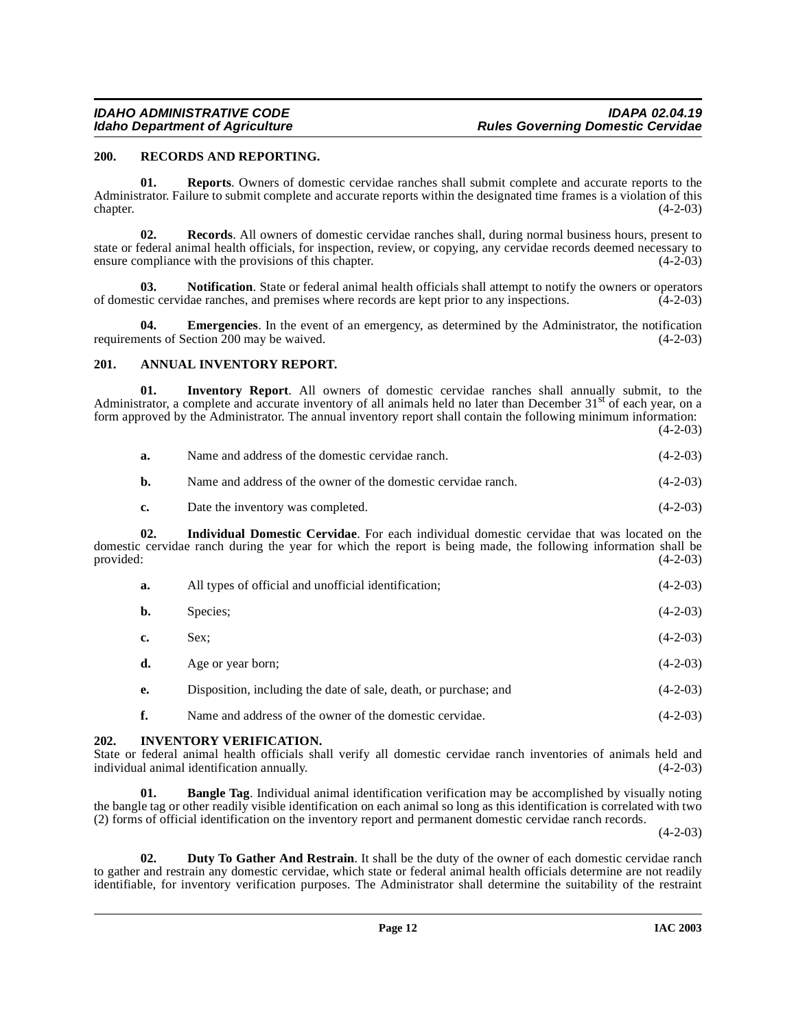## <span id="page-11-7"></span><span id="page-11-0"></span>**200. RECORDS AND REPORTING.**

**01. Reports**. Owners of domestic cervidae ranches shall submit complete and accurate reports to the Administrator. Failure to submit complete and accurate reports within the designated time frames is a violation of this chapter. (4-2-03)  $\epsilon$  (4-2-03)  $(4-2-03)$ 

**02. Records**. All owners of domestic cervidae ranches shall, during normal business hours, present to state or federal animal health officials, for inspection, review, or copying, any cervidae records deemed necessary to ensure compliance with the provisions of this chapter. (4-2-03)

**03.** Notification. State or federal animal health officials shall attempt to notify the owners or operators tic cervidae ranches, and premises where records are kept prior to any inspections. (4-2-03) of domestic cervidae ranches, and premises where records are kept prior to any inspections.

**Emergencies**. In the event of an emergency, as determined by the Administrator, the notification requirements of Section 200 may be waived. (4-2-03)

# <span id="page-11-3"></span><span id="page-11-1"></span>**201. ANNUAL INVENTORY REPORT.**

**01. Inventory Report**. All owners of domestic cervidae ranches shall annually submit, to the Administrator, a complete and accurate inventory of all animals held no later than December 31<sup>st</sup> of each year, on a form approved by the Administrator. The annual inventory report shall contain the following minimum information:  $(4-2-03)$ 

| a. | Name and address of the domestic cervidae ranch. | $(4-2-03)$ |
|----|--------------------------------------------------|------------|
|----|--------------------------------------------------|------------|

**b.** Name and address of the owner of the domestic cervidae ranch. (4-2-03)

**c.** Date the inventory was completed. (4-2-03)

**02. Individual Domestic Cervidae**. For each individual domestic cervidae that was located on the domestic cervidae ranch during the year for which the report is being made, the following information shall be provided: (4-2-03) provided:  $(4-2-03)$ 

| a. | All types of official and unofficial identification;             | $(4-2-03)$ |
|----|------------------------------------------------------------------|------------|
| b. | Species:                                                         | $(4-2-03)$ |
| c. | Sex:                                                             | $(4-2-03)$ |
| d. | Age or year born;                                                | $(4-2-03)$ |
| e. | Disposition, including the date of sale, death, or purchase; and | $(4-2-03)$ |
|    |                                                                  |            |

# <span id="page-11-6"></span><span id="page-11-4"></span>**f.** Name and address of the owner of the domestic cervidae. (4-2-03)

#### <span id="page-11-2"></span>**202. INVENTORY VERIFICATION.**

State or federal animal health officials shall verify all domestic cervidae ranch inventories of animals held and individual animal identification annually. (4-2-03)

**01. Bangle Tag**. Individual animal identification verification may be accomplished by visually noting the bangle tag or other readily visible identification on each animal so long as this identification is correlated with two (2) forms of official identification on the inventory report and permanent domestic cervidae ranch records.

 $(4-2-03)$ 

<span id="page-11-5"></span>**02. Duty To Gather And Restrain**. It shall be the duty of the owner of each domestic cervidae ranch to gather and restrain any domestic cervidae, which state or federal animal health officials determine are not readily identifiable, for inventory verification purposes. The Administrator shall determine the suitability of the restraint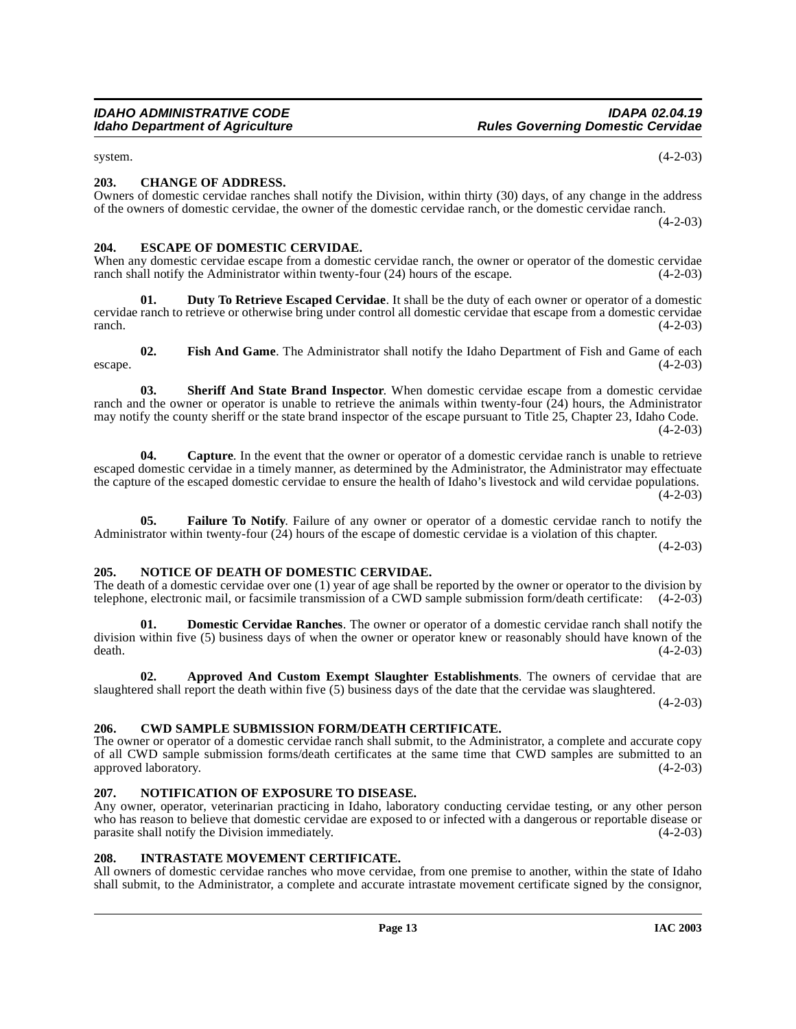<span id="page-12-9"></span>system. (4-2-03)

# <span id="page-12-0"></span>**203. CHANGE OF ADDRESS.**

Owners of domestic cervidae ranches shall notify the Division, within thirty (30) days, of any change in the address of the owners of domestic cervidae, the owner of the domestic cervidae ranch, or the domestic cervidae ranch.

 $(4-2-03)$ 

#### <span id="page-12-12"></span><span id="page-12-1"></span>**204. ESCAPE OF DOMESTIC CERVIDAE.**

When any domestic cervidae escape from a domestic cervidae ranch, the owner or operator of the domestic cervidae ranch shall notify the Administrator within twenty-four  $(24)$  hours of the escape.  $(4-2-03)$ 

<span id="page-12-11"></span>**01. Duty To Retrieve Escaped Cervidae**. It shall be the duty of each owner or operator of a domestic cervidae ranch to retrieve or otherwise bring under control all domestic cervidae that escape from a domestic cervidae  $r = (4-2-03)$ 

<span id="page-12-17"></span>**03. Sheriff And State Brand Inspector**. When domestic cervidae escape from a domestic cervidae ranch and the owner or operator is unable to retrieve the animals within twenty-four (24) hours, the Administrator may notify the county sheriff or the state brand inspector of the escape pursuant to Title 25, Chapter 23, Idaho Code.  $(4-2-03)$ 

<span id="page-12-8"></span>**04.** Capture. In the event that the owner or operator of a domestic cervidae ranch is unable to retrieve escaped domestic cervidae in a timely manner, as determined by the Administrator, the Administrator may effectuate the capture of the escaped domestic cervidae to ensure the health of Idaho's livestock and wild cervidae populations.  $(4-2-03)$ 

<span id="page-12-13"></span>**05. Failure To Notify**. Failure of any owner or operator of a domestic cervidae ranch to notify the Administrator within twenty-four (24) hours of the escape of domestic cervidae is a violation of this chapter.

 $(4-2-03)$ 

#### <span id="page-12-15"></span><span id="page-12-2"></span>**205. NOTICE OF DEATH OF DOMESTIC CERVIDAE.**

The death of a domestic cervidae over one (1) year of age shall be reported by the owner or operator to the division by telephone, electronic mail, or facsimile transmission of a CWD sample submission form/death certificat telephone, electronic mail, or facsimile transmission of a CWD sample submission form/death certificate:

<span id="page-12-10"></span>**Domestic Cervidae Ranches**. The owner or operator of a domestic cervidae ranch shall notify the division within five (5) business days of when the owner or operator knew or reasonably should have known of the death.  $(4-2-03)$ 

<span id="page-12-6"></span>**02. Approved And Custom Exempt Slaughter Establishments**. The owners of cervidae that are slaughtered shall report the death within five (5) business days of the date that the cervidae was slaughtered.

 $(4-2-03)$ 

# <span id="page-12-7"></span><span id="page-12-3"></span>**206. CWD SAMPLE SUBMISSION FORM/DEATH CERTIFICATE.**

The owner or operator of a domestic cervidae ranch shall submit, to the Administrator, a complete and accurate copy of all CWD sample submission forms/death certificates at the same time that CWD samples are submitted to an approved laboratory. (4-2-03)

# <span id="page-12-16"></span><span id="page-12-4"></span>**207. NOTIFICATION OF EXPOSURE TO DISEASE.**

Any owner, operator, veterinarian practicing in Idaho, laboratory conducting cervidae testing, or any other person who has reason to believe that domestic cervidae are exposed to or infected with a dangerous or reportable disease or parasite shall notify the Division immediately. (4-2-03)

# <span id="page-12-14"></span><span id="page-12-5"></span>**208. INTRASTATE MOVEMENT CERTIFICATE.**

All owners of domestic cervidae ranches who move cervidae, from one premise to another, within the state of Idaho shall submit, to the Administrator, a complete and accurate intrastate movement certificate signed by the consignor,

**<sup>02.</sup>** Fish And Game. The Administrator shall notify the Idaho Department of Fish and Game of each (4-2-03)  $e^{4-2-03}$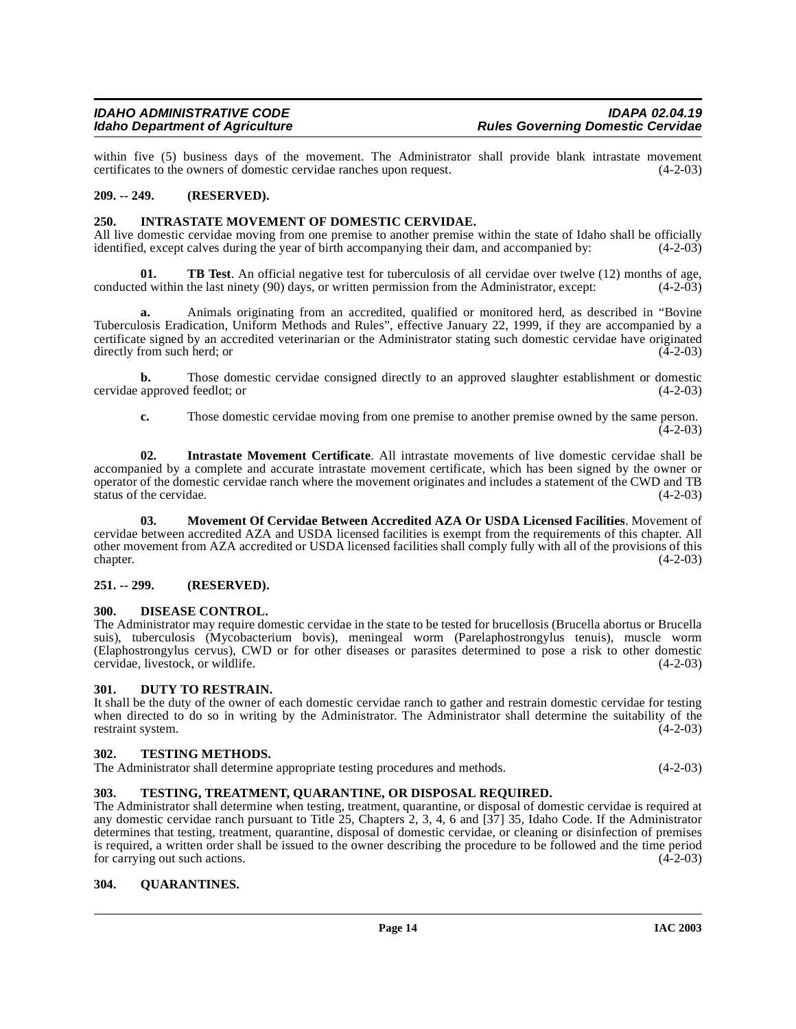within five (5) business days of the movement. The Administrator shall provide blank intrastate movement certificates to the owners of domestic cervidae ranches upon request. (4-2-03)

# <span id="page-13-0"></span>**209. -- 249. (RESERVED).**

#### <span id="page-13-10"></span><span id="page-13-1"></span>**250. INTRASTATE MOVEMENT OF DOMESTIC CERVIDAE.**

All live domestic cervidae moving from one premise to another premise within the state of Idaho shall be officially identified, except calves during the year of birth accompanying their dam, and accompanied by: (4-2-03) identified, except calves during the year of birth accompanying their dam, and accompanied by:

<span id="page-13-13"></span>**TB Test**. An official negative test for tuberculosis of all cervidae over twelve (12) months of age, conducted within the last ninety (90) days, or written permission from the Administrator, except: (4-2-03)

**a.** Animals originating from an accredited, qualified or monitored herd, as described in "Bovine Tuberculosis Eradication, Uniform Methods and Rules", effective January 22, 1999, if they are accompanied by a certificate signed by an accredited veterinarian or the Administrator stating such domestic cervidae have originated directly from such herd; or (4-2-03)

**b.** Those domestic cervidae consigned directly to an approved slaughter establishment or domestic cervidae approved feedlot; or (4-2-03)

**c.** Those domestic cervidae moving from one premise to another premise owned by the same person.  $(4-2-03)$ 

**02. Intrastate Movement Certificate**. All intrastate movements of live domestic cervidae shall be accompanied by a complete and accurate intrastate movement certificate, which has been signed by the owner or operator of the domestic cervidae ranch where the movement originates and includes a statement of the CWD and TB status of the cervidae.

<span id="page-13-11"></span>**03. Movement Of Cervidae Between Accredited AZA Or USDA Licensed Facilities**. Movement of cervidae between accredited AZA and USDA licensed facilities is exempt from the requirements of this chapter. All other movement from AZA accredited or USDA licensed facilities shall comply fully with all of the provisions of this chapter. (4-2-03)  $\epsilon$  (4-2-03)  $(4-2-03)$ 

# <span id="page-13-2"></span>**251. -- 299. (RESERVED).**

#### <span id="page-13-8"></span><span id="page-13-3"></span>**300. DISEASE CONTROL.**

The Administrator may require domestic cervidae in the state to be tested for brucellosis (Brucella abortus or Brucella suis), tuberculosis (Mycobacterium bovis), meningeal worm (Parelaphostrongylus tenuis), muscle worm (Elaphostrongylus cervus), CWD or for other diseases or parasites determined to pose a risk to other domestic cervidae, livestock, or wildlife.

#### <span id="page-13-9"></span><span id="page-13-4"></span>**301. DUTY TO RESTRAIN.**

It shall be the duty of the owner of each domestic cervidae ranch to gather and restrain domestic cervidae for testing when directed to do so in writing by the Administrator. The Administrator shall determine the suitability of the restraint system.  $(4-2-03)$ restraint system.

#### <span id="page-13-14"></span><span id="page-13-5"></span>**302. TESTING METHODS.**

| The Administrator shall determine appropriate testing procedures and methods. | $(4-2-03)$ |
|-------------------------------------------------------------------------------|------------|
|-------------------------------------------------------------------------------|------------|

# <span id="page-13-15"></span><span id="page-13-6"></span>**303. TESTING, TREATMENT, QUARANTINE, OR DISPOSAL REQUIRED.**

The Administrator shall determine when testing, treatment, quarantine, or disposal of domestic cervidae is required at any domestic cervidae ranch pursuant to Title 25, Chapters 2, 3, 4, 6 and [37] 35, Idaho Code. If the Administrator determines that testing, treatment, quarantine, disposal of domestic cervidae, or cleaning or disinfection of premises is required, a written order shall be issued to the owner describing the procedure to be followed and the time period<br>for carrying out such actions. (4-2-03) for carrying out such actions.

# <span id="page-13-12"></span><span id="page-13-7"></span>**304. QUARANTINES.**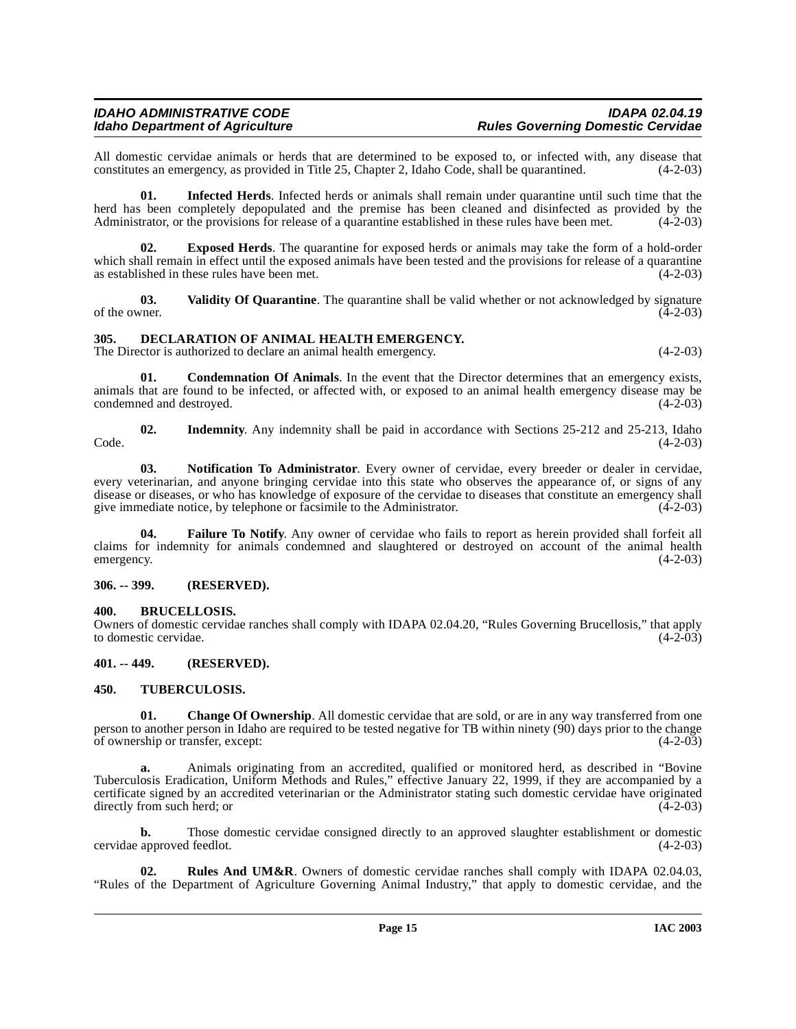All domestic cervidae animals or herds that are determined to be exposed to, or infected with, any disease that constitutes an emergency, as provided in Title 25, Chapter 2, Idaho Code, shall be quarantined. (4-2-03)

<span id="page-14-12"></span>**01. Infected Herds**. Infected herds or animals shall remain under quarantine until such time that the herd has been completely depopulated and the premise has been cleaned and disinfected as provided by the Administrator, or the provisions for release of a quarantine established in these rules have been met. (4-2-03)

<span id="page-14-9"></span>**02. Exposed Herds**. The quarantine for exposed herds or animals may take the form of a hold-order which shall remain in effect until the exposed animals have been tested and the provisions for release of a quarantine as established in these rules have been met. (4-2-03)

<span id="page-14-16"></span>**03.** Validity Of Quarantine. The quarantine shall be valid whether or not acknowledged by signature of the owner. (4-2-03) of the owner.  $(4-2-03)$ 

# <span id="page-14-8"></span><span id="page-14-0"></span>**305. DECLARATION OF ANIMAL HEALTH EMERGENCY.**

The Director is authorized to declare an animal health emergency. (4-2-03)

<span id="page-14-7"></span>**01. Condemnation Of Animals**. In the event that the Director determines that an emergency exists, animals that are found to be infected, or affected with, or exposed to an animal health emergency disease may be condemned and destroyed. (4-2-03)

<span id="page-14-11"></span>**02.** Indemnity. Any indemnity shall be paid in accordance with Sections 25-212 and 25-213, Idaho (4-2-03)  $\text{Code.}$  (4-2-03)

<span id="page-14-13"></span>**03. Notification To Administrator**. Every owner of cervidae, every breeder or dealer in cervidae, every veterinarian, and anyone bringing cervidae into this state who observes the appearance of, or signs of any disease or diseases, or who has knowledge of exposure of the cervidae to diseases that constitute an emergency shall<br>give immediate notice, by telephone or facsimile to the Administrator. (4-2-03) give immediate notice, by telephone or facsimile to the Administrator.

<span id="page-14-10"></span>**04. Failure To Notify**. Any owner of cervidae who fails to report as herein provided shall forfeit all claims for indemnity for animals condemned and slaughtered or destroyed on account of the animal health emergency. (4-2-03)

# <span id="page-14-1"></span>**306. -- 399. (RESERVED).**

# <span id="page-14-5"></span><span id="page-14-2"></span>**400. BRUCELLOSIS.**

Owners of domestic cervidae ranches shall comply with IDAPA 02.04.20, "Rules Governing Brucellosis," that apply to domestic cervidae.

# <span id="page-14-3"></span>**401. -- 449. (RESERVED).**

# <span id="page-14-15"></span><span id="page-14-4"></span>**450. TUBERCULOSIS.**

<span id="page-14-6"></span>**01.** Change Of Ownership. All domestic cervidae that are sold, or are in any way transferred from one person to another person in Idaho are required to be tested negative for TB within ninety (90) days prior to the change of ownership or transfer, except:

**a.** Animals originating from an accredited, qualified or monitored herd, as described in "Bovine Tuberculosis Eradication, Uniform Methods and Rules," effective January 22, 1999, if they are accompanied by a certificate signed by an accredited veterinarian or the Administrator stating such domestic cervidae have originated directly from such herd; or

**b.** Those domestic cervidae consigned directly to an approved slaughter establishment or domestic cervidae approved feedlot. (4-2-03)

<span id="page-14-14"></span>**02. Rules And UM&R**. Owners of domestic cervidae ranches shall comply with IDAPA 02.04.03, "Rules of the Department of Agriculture Governing Animal Industry," that apply to domestic cervidae, and the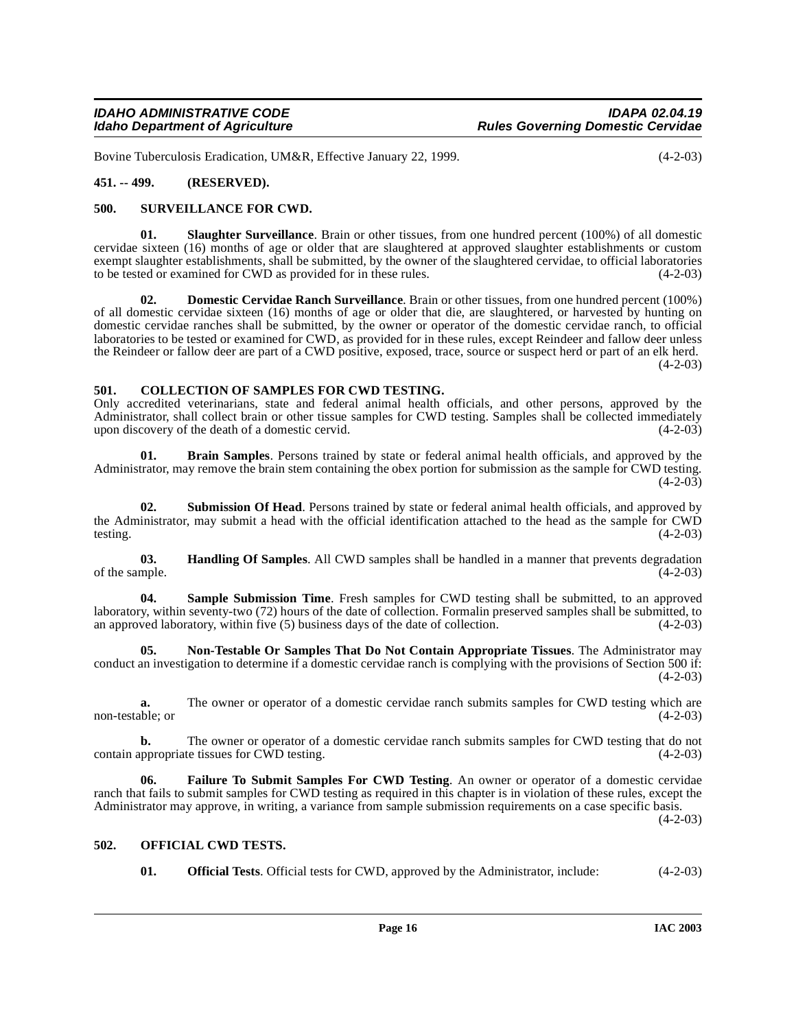Bovine Tuberculosis Eradication, UM&R, Effective January 22, 1999. (4-2-03)

# <span id="page-15-0"></span>**451. -- 499. (RESERVED).**

#### <span id="page-15-14"></span><span id="page-15-1"></span>**500. SURVEILLANCE FOR CWD.**

<span id="page-15-12"></span>**01. Slaughter Surveillance**. Brain or other tissues, from one hundred percent (100%) of all domestic cervidae sixteen (16) months of age or older that are slaughtered at approved slaughter establishments or custom exempt slaughter establishments, shall be submitted, by the owner of the slaughtered cervidae, to official laboratories to be tested or examined for CWD as provided for in these rules. (4-2-03)

<span id="page-15-6"></span>**02. Domestic Cervidae Ranch Surveillance**. Brain or other tissues, from one hundred percent (100%) of all domestic cervidae sixteen (16) months of age or older that die, are slaughtered, or harvested by hunting on domestic cervidae ranches shall be submitted, by the owner or operator of the domestic cervidae ranch, to official laboratories to be tested or examined for CWD, as provided for in these rules, except Reindeer and fallow deer unless the Reindeer or fallow deer are part of a CWD positive, exposed, trace, source or suspect herd or part of an elk herd.  $(4-2-03)$ 

## <span id="page-15-5"></span><span id="page-15-2"></span>**501. COLLECTION OF SAMPLES FOR CWD TESTING.**

Only accredited veterinarians, state and federal animal health officials, and other persons, approved by the Administrator, shall collect brain or other tissue samples for CWD testing. Samples shall be collected immediately upon discovery of the death of a domestic cervid. upon discovery of the death of a domestic cervid.

<span id="page-15-4"></span>**01. Brain Samples**. Persons trained by state or federal animal health officials, and approved by the Administrator, may remove the brain stem containing the obex portion for submission as the sample for CWD testing. (4-2-03)

<span id="page-15-13"></span>**02. Submission Of Head**. Persons trained by state or federal animal health officials, and approved by the Administrator, may submit a head with the official identification attached to the head as the sample for CWD testing.  $(4-2-03)$ 

<span id="page-15-8"></span>**03. Handling Of Samples**. All CWD samples shall be handled in a manner that prevents degradation mple. (4-2-03) of the sample.

<span id="page-15-11"></span>**04. Sample Submission Time**. Fresh samples for CWD testing shall be submitted, to an approved laboratory, within seventy-two (72) hours of the date of collection. Formalin preserved samples shall be submitted, to an approved laboratory, within five (5) business days of the date of collection. (4-2-03)

<span id="page-15-9"></span>**05. Non-Testable Or Samples That Do Not Contain Appropriate Tissues**. The Administrator may conduct an investigation to determine if a domestic cervidae ranch is complying with the provisions of Section 500 if:  $(4-2-03)$ 

**a.** The owner or operator of a domestic cervidae ranch submits samples for CWD testing which are non-testable; or (4-2-03)

**b.** The owner or operator of a domestic cervidae ranch submits samples for CWD testing that do not contain appropriate tissues for CWD testing. (4-2-03)

<span id="page-15-7"></span>**06. Failure To Submit Samples For CWD Testing**. An owner or operator of a domestic cervidae ranch that fails to submit samples for CWD testing as required in this chapter is in violation of these rules, except the Administrator may approve, in writing, a variance from sample submission requirements on a case specific basis.

 $(4-2-03)$ 

#### <span id="page-15-3"></span>**502. OFFICIAL CWD TESTS.**

<span id="page-15-10"></span>**01. Official Tests**. Official tests for CWD, approved by the Administrator, include:  $(4-2-03)$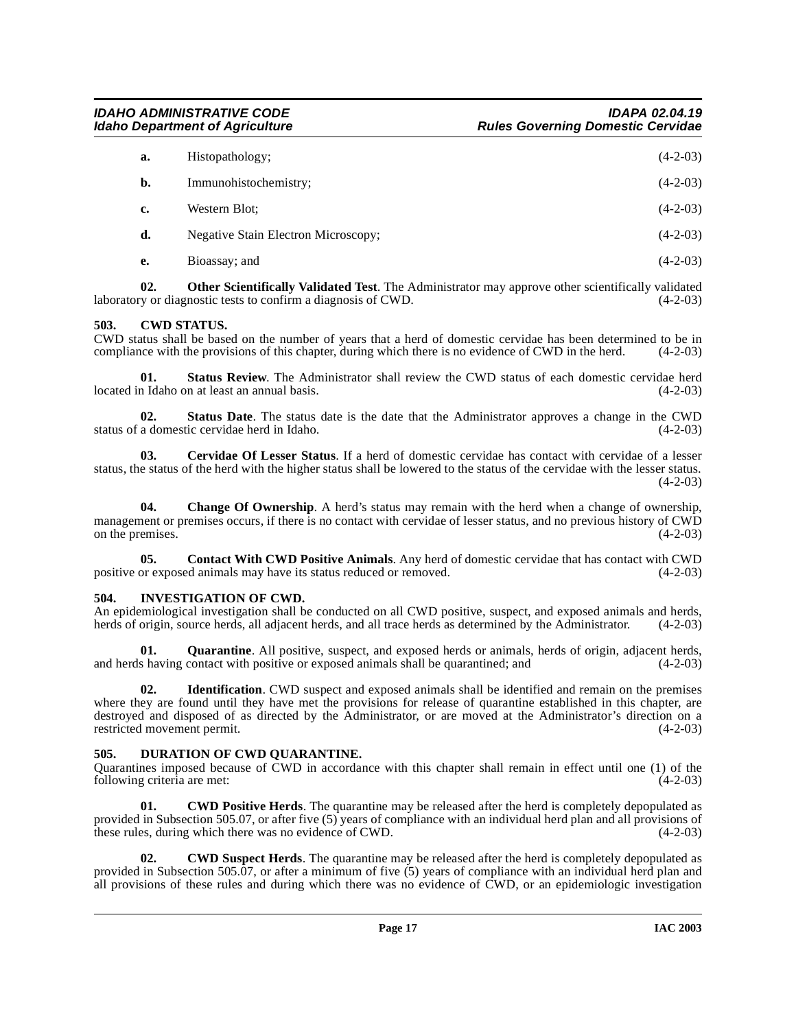| a. | Histopathology;                     | $(4-2-03)$ |
|----|-------------------------------------|------------|
| b. | Immunohistochemistry;               | $(4-2-03)$ |
| c. | Western Blot:                       | $(4-2-03)$ |
| d. | Negative Stain Electron Microscopy; | $(4-2-03)$ |
| e. | Bioassay; and                       | $(4-2-03)$ |

**02. Other Scientifically Validated Test**. The Administrator may approve other scientifically validated ry or diagnostic tests to confirm a diagnosis of CWD.  $(4-2-03)$ laboratory or diagnostic tests to confirm a diagnosis of CWD.

# <span id="page-16-4"></span><span id="page-16-0"></span>**503. CWD STATUS.**

CWD status shall be based on the number of years that a herd of domestic cervidae has been determined to be in compliance with the provisions of this chapter, during which there is no evidence of CWD in the herd. (4-2-03) compliance with the provisions of this chapter, during which there is no evidence of CWD in the herd.

**01. Status Review**. The Administrator shall review the CWD status of each domestic cervidae herd located in Idaho on at least an annual basis. (4-2-03)

**02.** Status Date. The status date is the date that the Administrator approves a change in the CWD a domestic cervidae herd in Idaho. (4-2-03) status of a domestic cervidae herd in Idaho.

**03. Cervidae Of Lesser Status**. If a herd of domestic cervidae has contact with cervidae of a lesser status, the status of the herd with the higher status shall be lowered to the status of the cervidae with the lesser status.  $(4-2-03)$ 

**04. Change Of Ownership**. A herd's status may remain with the herd when a change of ownership, management or premises occurs, if there is no contact with cervidae of lesser status, and no previous history of CWD<br>on the premises. (4-2-03) on the premises.

**05. Contact With CWD Positive Animals**. Any herd of domestic cervidae that has contact with CWD or exposed animals may have its status reduced or removed.  $(4-2-03)$ positive or exposed animals may have its status reduced or removed.

# <span id="page-16-7"></span><span id="page-16-1"></span>**504. INVESTIGATION OF CWD.**

An epidemiological investigation shall be conducted on all CWD positive, suspect, and exposed animals and herds, herds of origin, source herds, all adjacent herds, and all trace herds as determined by the Administrator. (4-2-03)

**01.** Quarantine. All positive, suspect, and exposed herds or animals, herds of origin, adjacent herds, shaving contact with positive or exposed animals shall be quarantined: and (4-2-03) and herds having contact with positive or exposed animals shall be quarantined; and

**02. Identification**. CWD suspect and exposed animals shall be identified and remain on the premises where they are found until they have met the provisions for release of quarantine established in this chapter, are destroyed and disposed of as directed by the Administrator, or are moved at the Administrator's direction on a restricted movement permit. (4-2-03) restricted movement permit.

# <span id="page-16-6"></span><span id="page-16-2"></span>**505. DURATION OF CWD QUARANTINE.**

Quarantines imposed because of CWD in accordance with this chapter shall remain in effect until one (1) of the following criteria are met:

<span id="page-16-3"></span>**01. CWD Positive Herds**. The quarantine may be released after the herd is completely depopulated as provided in Subsection 505.07, or after five (5) years of compliance with an individual herd plan and all provisions of these rules, during which there was no evidence of CWD. (4-2-03)

<span id="page-16-5"></span>**02. CWD Suspect Herds**. The quarantine may be released after the herd is completely depopulated as provided in Subsection 505.07, or after a minimum of five (5) years of compliance with an individual herd plan and all provisions of these rules and during which there was no evidence of CWD, or an epidemiologic investigation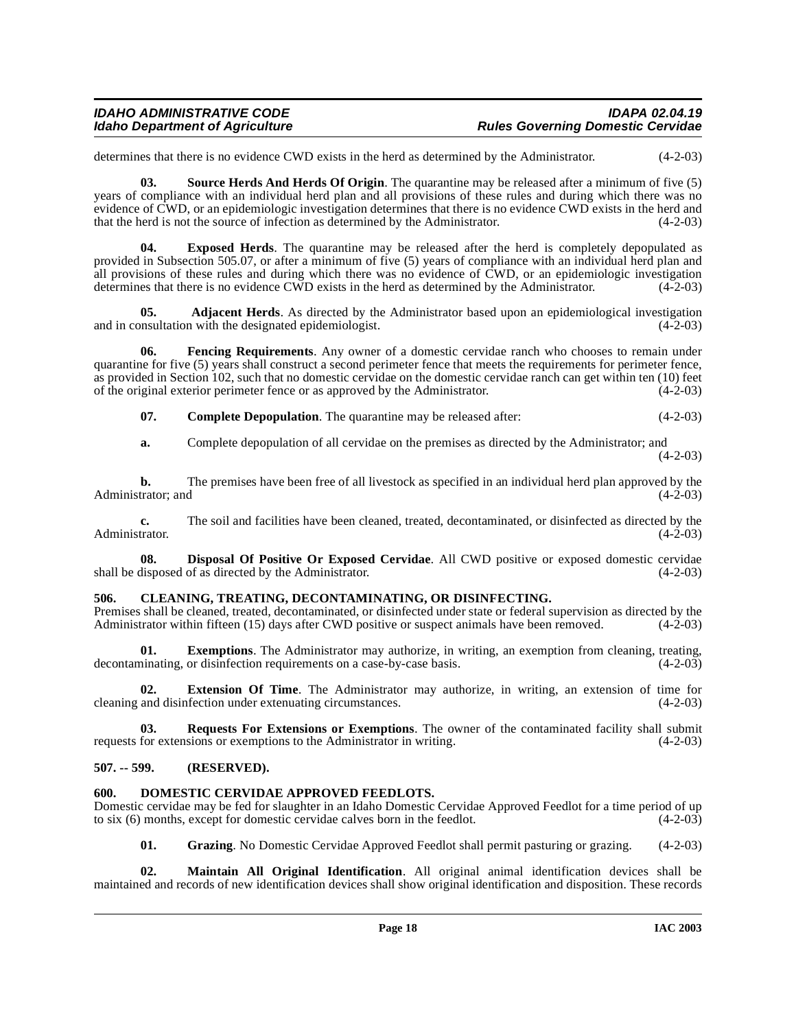# **IDAHO ADMINISTRATIVE CODE IDAPA 02.04.19**

determines that there is no evidence CWD exists in the herd as determined by the Administrator. (4-2-03)

<span id="page-17-11"></span>**03. Source Herds And Herds Of Origin**. The quarantine may be released after a minimum of five (5) years of compliance with an individual herd plan and all provisions of these rules and during which there was no evidence of CWD, or an epidemiologic investigation determines that there is no evidence CWD exists in the herd and that the herd is not the source of infection as determined by the Administrator. (4-2-03)

<span id="page-17-8"></span>**04. Exposed Herds**. The quarantine may be released after the herd is completely depopulated as provided in Subsection 505.07, or after a minimum of five (5) years of compliance with an individual herd plan and all provisions of these rules and during which there was no evidence of CWD, or an epidemiologic investigation determines that there is no evidence CWD exists in the herd as determined by the Administrator. (4-2-03)

<span id="page-17-3"></span>**05. Adjacent Herds**. As directed by the Administrator based upon an epidemiological investigation msultation with the designated epidemiologist. (4-2-03) and in consultation with the designated epidemiologist.

**06. Fencing Requirements**. Any owner of a domestic cervidae ranch who chooses to remain under quarantine for five (5) years shall construct a second perimeter fence that meets the requirements for perimeter fence, as provided in Section 102, such that no domestic cervidae on the domestic cervidae ranch can get within ten (10) feet of the original exterior perimeter fence or as approved by the Administrator. (4-2-03)

<span id="page-17-9"></span><span id="page-17-5"></span>**07. Complete Depopulation**. The quarantine may be released after: (4-2-03)

**a.** Complete depopulation of all cervidae on the premises as directed by the Administrator; and  $(4-2-03)$ 

**b.** The premises have been free of all livestock as specified in an individual herd plan approved by the trator; and (4-2-03) Administrator; and

**c.** The soil and facilities have been cleaned, treated, decontaminated, or disinfected as directed by the trator.  $(4-2-03)$ Administrator.

<span id="page-17-6"></span>**08. Disposal Of Positive Or Exposed Cervidae**. All CWD positive or exposed domestic cervidae disposed of as directed by the Administrator. (4-2-03) shall be disposed of as directed by the Administrator.

### <span id="page-17-4"></span><span id="page-17-0"></span>**506. CLEANING, TREATING, DECONTAMINATING, OR DISINFECTING.**

Premises shall be cleaned, treated, decontaminated, or disinfected under state or federal supervision as directed by the Administrator within fifteen (15) days after CWD positive or suspect animals have been removed. (4-2-Administrator within fifteen (15) days after CWD positive or suspect animals have been removed.

**01. Exemptions**. The Administrator may authorize, in writing, an exemption from cleaning, treating, or disinfection requirements on a case-by-case basis. (4-2-03) decontaminating, or disinfection requirements on a case-by-case basis.

**02. Extension Of Time**. The Administrator may authorize, in writing, an extension of time for cleaning and disinfection under extenuating circumstances. (4-2-03)

**03.** Requests For Extensions or Exemptions. The owner of the contaminated facility shall submit for extensions or exemptions to the Administrator in writing. (4-2-03) requests for extensions or exemptions to the Administrator in writing.

#### <span id="page-17-1"></span>**507. -- 599. (RESERVED).**

#### <span id="page-17-7"></span><span id="page-17-2"></span>**600. DOMESTIC CERVIDAE APPROVED FEEDLOTS.**

Domestic cervidae may be fed for slaughter in an Idaho Domestic Cervidae Approved Feedlot for a time period of up to six (6) months, except for domestic cervidae calves born in the feedlot. (4-2-03)

<span id="page-17-10"></span>**01. Grazing**. No Domestic Cervidae Approved Feedlot shall permit pasturing or grazing. (4-2-03)

**02. Maintain All Original Identification**. All original animal identification devices shall be maintained and records of new identification devices shall show original identification and disposition. These records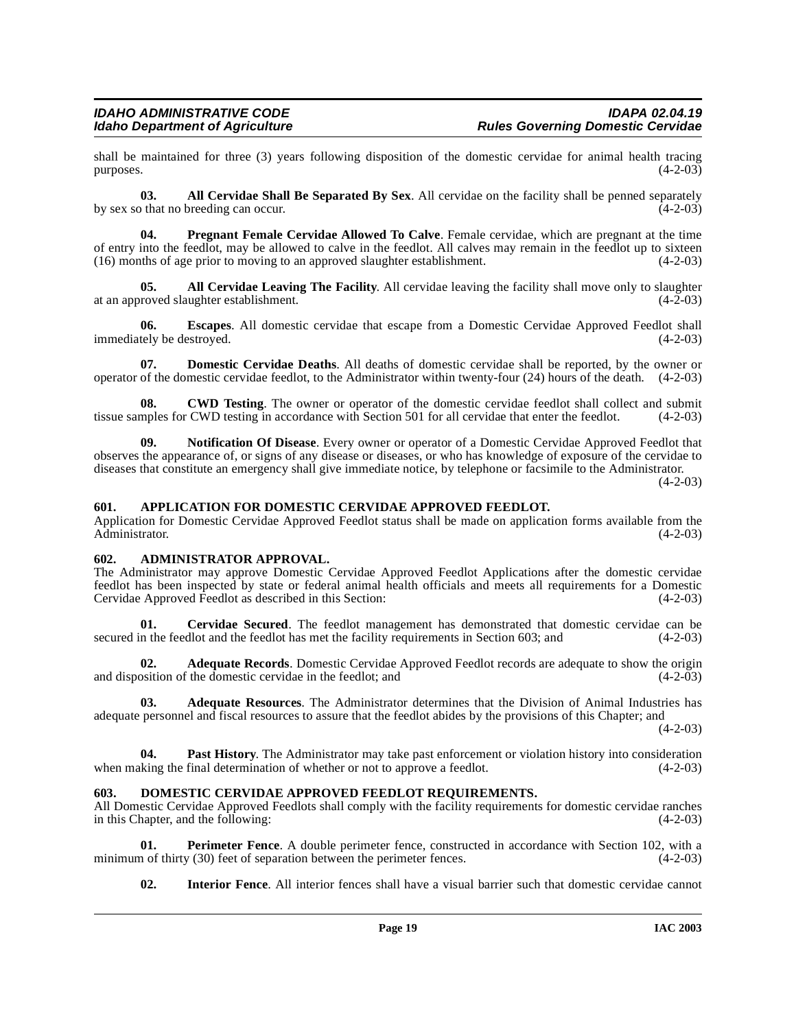shall be maintained for three (3) years following disposition of the domestic cervidae for animal health tracing<br>purposes. (4-2-03)  $p$ urposes.  $(4-2-03)$ 

<span id="page-18-7"></span>**03. All Cervidae Shall Be Separated By Sex**. All cervidae on the facility shall be penned separately othat no breeding can occur. by sex so that no breeding can occur.

<span id="page-18-17"></span>**04. Pregnant Female Cervidae Allowed To Calve**. Female cervidae, which are pregnant at the time of entry into the feedlot, may be allowed to calve in the feedlot. All calves may remain in the feedlot up to sixteen (16) months of age prior to moving to an approved slaughter establishment. (4-2-03)  $(16)$  months of age prior to moving to an approved slaughter establishment.

<span id="page-18-6"></span>**05. All Cervidae Leaving The Facility**. All cervidae leaving the facility shall move only to slaughter roved slaughter establishment. (4-2-03) at an approved slaughter establishment.

<span id="page-18-13"></span>**06. Escapes**. All domestic cervidae that escape from a Domestic Cervidae Approved Feedlot shall immediately be destroyed. (4-2-03)

<span id="page-18-12"></span>**07. Domestic Cervidae Deaths**. All deaths of domestic cervidae shall be reported, by the owner or operator of the domestic cervidae feedlot, to the Administrator within twenty-four (24) hours of the death. (4-2-03)

<span id="page-18-9"></span>**CWD Testing**. The owner or operator of the domestic cervidae feedlot shall collect and submit CWD testing in accordance with Section 501 for all cervidae that enter the feedlot. (4-2-03) tissue samples for CWD testing in accordance with Section 501 for all cervidae that enter the feedlot.

<span id="page-18-15"></span>**09. Notification Of Disease**. Every owner or operator of a Domestic Cervidae Approved Feedlot that observes the appearance of, or signs of any disease or diseases, or who has knowledge of exposure of the cervidae to diseases that constitute an emergency shall give immediate notice, by telephone or facsimile to the Administrator.

 $(4-2-03)$ 

#### <span id="page-18-8"></span><span id="page-18-0"></span>**601. APPLICATION FOR DOMESTIC CERVIDAE APPROVED FEEDLOT.**

Application for Domestic Cervidae Approved Feedlot status shall be made on application forms available from the Administrator. (4-2-03)

#### <span id="page-18-5"></span><span id="page-18-1"></span>**602. ADMINISTRATOR APPROVAL.**

The Administrator may approve Domestic Cervidae Approved Feedlot Applications after the domestic cervidae feedlot has been inspected by state or federal animal health officials and meets all requirements for a Domestic Cervidae Approved Feedlot as described in this Section: (4-2-03)

<span id="page-18-10"></span>**Cervidae Secured**. The feedlot management has demonstrated that domestic cervidae can be dlot and the feedlot has met the facility requirements in Section 603; and (4-2-03) secured in the feedlot and the feedlot has met the facility requirements in Section 603; and

<span id="page-18-3"></span>**02. Adequate Records**. Domestic Cervidae Approved Feedlot records are adequate to show the origin osition of the domestic cervidae in the feedlot; and (4-2-03) and disposition of the domestic cervidae in the feedlot; and

<span id="page-18-4"></span>**03. Adequate Resources**. The Administrator determines that the Division of Animal Industries has adequate personnel and fiscal resources to assure that the feedlot abides by the provisions of this Chapter; and

 $(4-2-03)$ 

**04. Past History**. The Administrator may take past enforcement or violation history into consideration when making the final determination of whether or not to approve a feedlot.  $(4-2-03)$ 

#### <span id="page-18-11"></span><span id="page-18-2"></span>**603. DOMESTIC CERVIDAE APPROVED FEEDLOT REQUIREMENTS.**

All Domestic Cervidae Approved Feedlots shall comply with the facility requirements for domestic cervidae ranches in this Chapter, and the following: (4-2-03)

**01. Perimeter Fence**. A double perimeter fence, constructed in accordance with Section 102, with a n of thirty (30) feet of separation between the perimeter fences. (4-2-03) minimum of thirty  $(30)$  feet of separation between the perimeter fences.

<span id="page-18-16"></span><span id="page-18-14"></span>**02. Interior Fence**. All interior fences shall have a visual barrier such that domestic cervidae cannot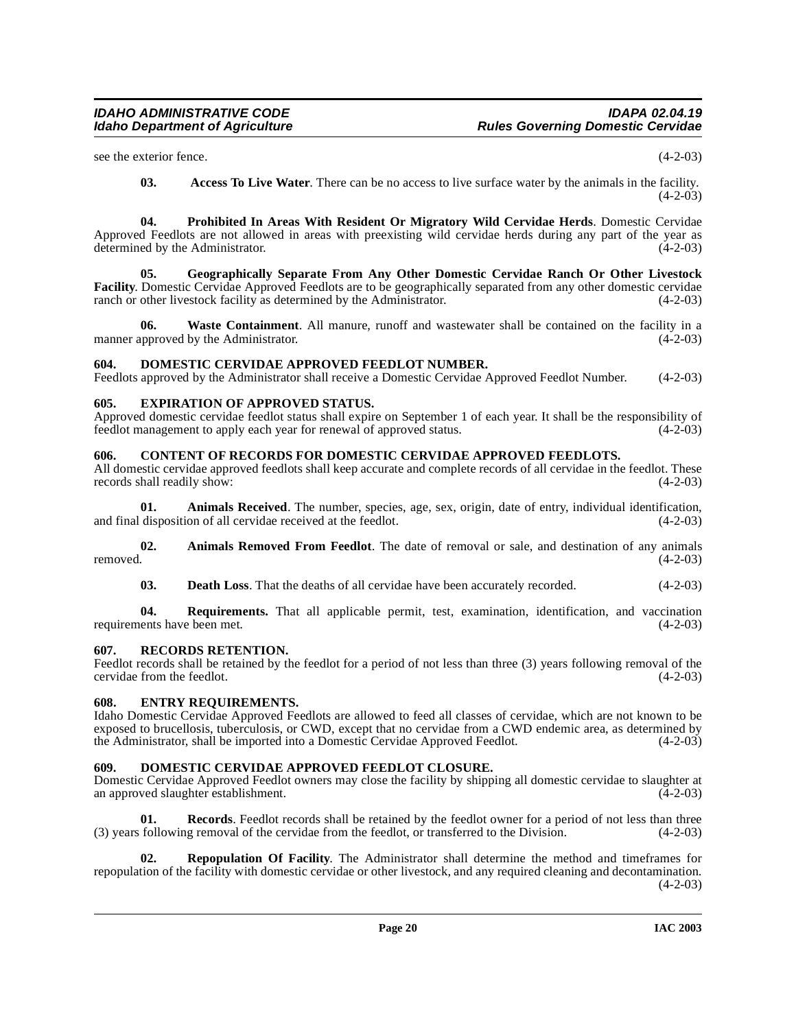see the exterior fence.  $(4-2-03)$ 

<span id="page-19-13"></span><span id="page-19-12"></span><span id="page-19-6"></span>**03. Access To Live Water**. There can be no access to live surface water by the animals in the facility.  $(4-2-03)$ 

**04. Prohibited In Areas With Resident Or Migratory Wild Cervidae Herds**. Domestic Cervidae Approved Feedlots are not allowed in areas with preexisting wild cervidae herds during any part of the year as determined by the Administrator. (4-2-03) determined by the Administrator.

**05. Geographically Separate From Any Other Domestic Cervidae Ranch Or Other Livestock Facility**. Domestic Cervidae Approved Feedlots are to be geographically separated from any other domestic cervidae ranch or other livestock facility as determined by the Administrator. (4-2-03) ranch or other livestock facility as determined by the Administrator.

<span id="page-19-15"></span>**06. Waste Containment**. All manure, runoff and wastewater shall be contained on the facility in a manner approved by the Administrator. (4-2-03)

# <span id="page-19-9"></span><span id="page-19-0"></span>**604. DOMESTIC CERVIDAE APPROVED FEEDLOT NUMBER.**

Feedlots approved by the Administrator shall receive a Domestic Cervidae Approved Feedlot Number. (4-2-03)

# <span id="page-19-11"></span><span id="page-19-1"></span>**605. EXPIRATION OF APPROVED STATUS.**

Approved domestic cervidae feedlot status shall expire on September 1 of each year. It shall be the responsibility of feedlot management to apply each year for renewal of approved status.  $(4-2-03)$ feedlot management to apply each year for renewal of approved status.

# <span id="page-19-7"></span><span id="page-19-2"></span>**606. CONTENT OF RECORDS FOR DOMESTIC CERVIDAE APPROVED FEEDLOTS.**

All domestic cervidae approved feedlots shall keep accurate and complete records of all cervidae in the feedlot. These records shall readily show: (4-2-03) records shall readily show:

**01.** Animals Received. The number, species, age, sex, origin, date of entry, individual identification, disposition of all cervidae received at the feedlot.  $(4-2-03)$ and final disposition of all cervidae received at the feedlot.

**02.** Animals Removed From Feedlot. The date of removal or sale, and destination of any animals removed.  $(4-2-03)$ removed.  $(4-2-03)$ 

**03. Death Loss**. That the deaths of all cervidae have been accurately recorded.  $(4-2-03)$ 

**04. Requirements.** That all applicable permit, test, examination, identification, and vaccination requirements have been met. (4-2-03)

# <span id="page-19-14"></span><span id="page-19-3"></span>**607. RECORDS RETENTION.**

Feedlot records shall be retained by the feedlot for a period of not less than three (3) years following removal of the cervidae from the feedlot. (4-2-03) cervidae from the feedlot.

# <span id="page-19-10"></span><span id="page-19-4"></span>**608. ENTRY REQUIREMENTS.**

Idaho Domestic Cervidae Approved Feedlots are allowed to feed all classes of cervidae, which are not known to be exposed to brucellosis, tuberculosis, or CWD, except that no cervidae from a CWD endemic area, as determined by the Administrator, shall be imported into a Domestic Cervidae Approved Feedlot. (4-2-03) the Administrator, shall be imported into a Domestic Cervidae Approved Feedlot.

# <span id="page-19-8"></span><span id="page-19-5"></span>**609. DOMESTIC CERVIDAE APPROVED FEEDLOT CLOSURE.**

Domestic Cervidae Approved Feedlot owners may close the facility by shipping all domestic cervidae to slaughter at an approved slaughter establishment.

**Records.** Feedlot records shall be retained by the feedlot owner for a period of not less than three (3) years following removal of the cervidae from the feedlot, or transferred to the Division. (4-2-03)

**02. Repopulation Of Facility**. The Administrator shall determine the method and timeframes for repopulation of the facility with domestic cervidae or other livestock, and any required cleaning and decontamination.  $(4-2-03)$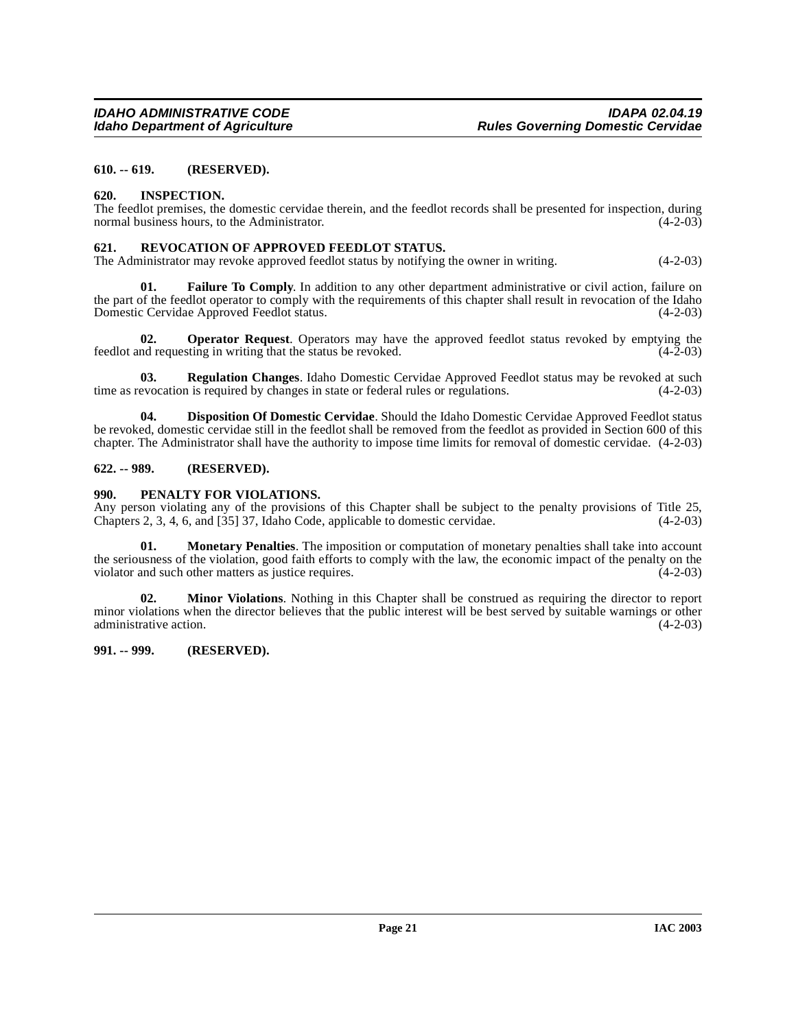# <span id="page-20-0"></span>**610. -- 619. (RESERVED).**

#### <span id="page-20-6"></span><span id="page-20-1"></span>**620. INSPECTION.**

The feedlot premises, the domestic cervidae therein, and the feedlot records shall be presented for inspection, during normal business hours, to the Administrator. (4-2-03)

#### <span id="page-20-8"></span><span id="page-20-2"></span>**621. REVOCATION OF APPROVED FEEDLOT STATUS.**

The Administrator may revoke approved feedlot status by notifying the owner in writing. (4-2-03)

**01. Failure To Comply**. In addition to any other department administrative or civil action, failure on the part of the feedlot operator to comply with the requirements of this chapter shall result in revocation of the Idaho<br>Domestic Cervidae Approved Feedlot status. (4-2-03) Domestic Cervidae Approved Feedlot status.

**02. Operator Request**. Operators may have the approved feedlot status revoked by emptying the nd requesting in writing that the status be revoked.  $(4-2-03)$ feedlot and requesting in writing that the status be revoked.

**03. Regulation Changes**. Idaho Domestic Cervidae Approved Feedlot status may be revoked at such time as revocation is required by changes in state or federal rules or regulations. (4-2-03)

**04. Disposition Of Domestic Cervidae**. Should the Idaho Domestic Cervidae Approved Feedlot status be revoked, domestic cervidae still in the feedlot shall be removed from the feedlot as provided in Section 600 of this chapter. The Administrator shall have the authority to impose time limits for removal of domestic cervidae. (4-2-03)

#### <span id="page-20-3"></span>**622. -- 989. (RESERVED).**

#### <span id="page-20-7"></span><span id="page-20-4"></span>**990. PENALTY FOR VIOLATIONS.**

Any person violating any of the provisions of this Chapter shall be subject to the penalty provisions of Title 25, Chapters 2, 3, 4, 6, and [35] 37, Idaho Code, applicable to domestic cervidae. (4-2-03) Chapters 2, 3, 4, 6, and [35] 37, Idaho Code, applicable to domestic cervidae.

**01. Monetary Penalties**. The imposition or computation of monetary penalties shall take into account the seriousness of the violation, good faith efforts to comply with the law, the economic impact of the penalty on the violator and such other matters as justice requires. (4-2-03)

**02. Minor Violations**. Nothing in this Chapter shall be construed as requiring the director to report minor violations when the director believes that the public interest will be best served by suitable warnings or other administrative action. (4-2-03)

## <span id="page-20-5"></span>**991. -- 999. (RESERVED).**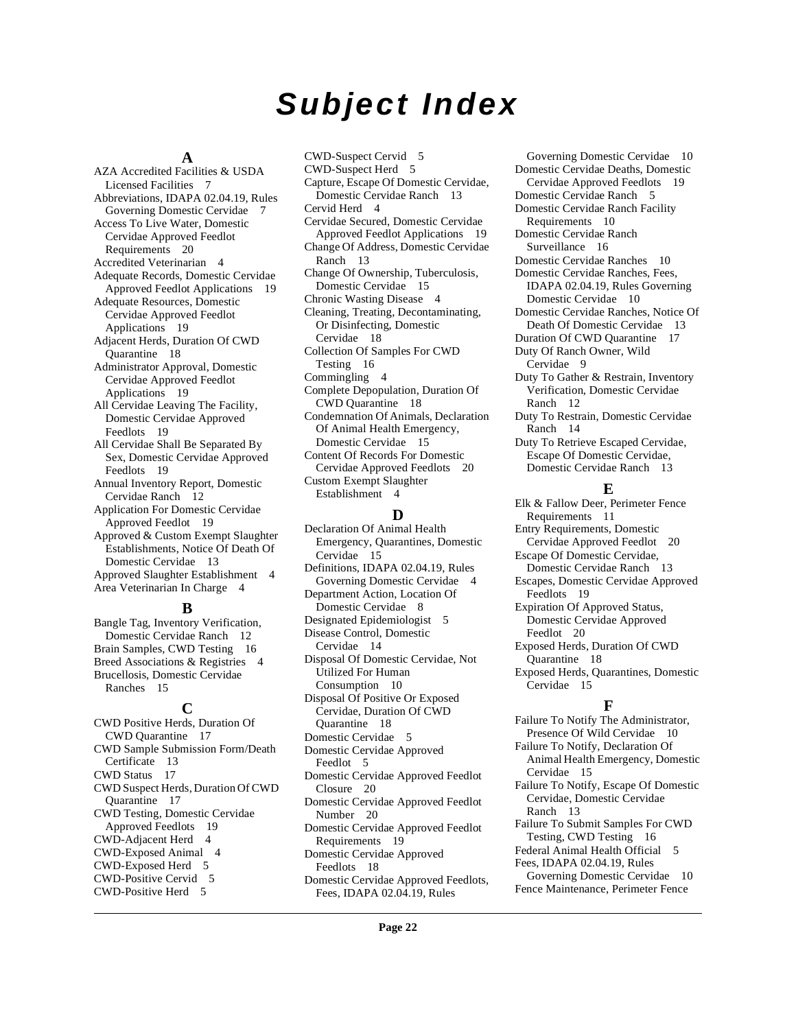# **Subject Index**

#### **A**

AZA Accredited Facilities & USDA Licensed Facilities [7](#page-6-3) Abbreviations, IDAPA 02.04.19, Rules Governing Domestic Cervidae [7](#page-6-4) Access To Live Water, Domestic Cervidae Approved Feedlot Requirements [20](#page-19-6) Accredited Veterinarian [4](#page-3-2) Adequate Records, Domestic Cervidae Approved Feedlot Applications [19](#page-18-3) Adequate Resources, Domestic Cervidae Approved Feedlot Applications [19](#page-18-4) Adjacent Herds, Duration Of CWD Quarantine [18](#page-17-3) Administrator Approval, Domestic Cervidae Approved Feedlot Applications [19](#page-18-5) All Cervidae Leaving The Facility, Domestic Cervidae Approved Feedlots [19](#page-18-6) All Cervidae Shall Be Separated By Sex, Domestic Cervidae Approved Feedlots [19](#page-18-7) Annual Inventory Report, Domestic Cervidae Ranch [12](#page-11-3) Application For Domestic Cervidae Approved Feedlot [19](#page-18-8) Approved & Custom Exempt Slaughter Establishments, Notice Of Death Of Domestic Cervidae [13](#page-12-6) Approved Slaughter Establishment [4](#page-3-3) Area Veterinarian In Charge [4](#page-3-4)

#### **B**

Bangle Tag, Inventory Verification, Domestic Cervidae Ranch [12](#page-11-4) Brain Samples, CWD Testing [16](#page-15-4) Breed Associations & Registries [4](#page-3-5) Brucellosis, Domestic Cervidae Ranches [15](#page-14-5)

#### **C**

CWD Positive Herds, Duration Of CWD Quarantine [17](#page-16-3) CWD Sample Submission Form/Death Certificate [13](#page-12-7) CWD Status [17](#page-16-4) CWD Suspect Herds, Duration Of CWD Quarantine [17](#page-16-5) CWD Testing, Domestic Cervidae Approved Feedlots [19](#page-18-9) CWD-Adjacent Herd [4](#page-3-6) CWD-Exposed Animal [4](#page-3-7) CWD-Exposed Herd [5](#page-4-0) CWD-Positive Cervid [5](#page-4-1) CWD-Positive Herd [5](#page-4-2)

CWD-Suspect Cervid [5](#page-4-3) CWD-Suspect Herd [5](#page-4-4) Capture, Escape Of Domestic Cervidae, Domestic Cervidae Ranch [13](#page-12-8) Cervid Herd [4](#page-3-8) Cervidae Secured, Domestic Cervidae Approved Feedlot Applications [19](#page-18-10) Change Of Address, Domestic Cervidae Ranch [13](#page-12-9) Change Of Ownership, Tuberculosis, Domestic Cervidae [15](#page-14-6) Chronic Wasting Disease [4](#page-3-9) Cleaning, Treating, Decontaminating, Or Disinfecting, Domestic Cervidae [18](#page-17-4) Collection Of Samples For CWD Testing [16](#page-15-5) Commingling [4](#page-3-10) Complete Depopulation, Duration Of CWD Quarantine [18](#page-17-5) Condemnation Of Animals, Declaration Of Animal Health Emergency, Domestic Cervidae [15](#page-14-7) Content Of Records For Domestic Cervidae Approved Feedlots [20](#page-19-7) Custom Exempt Slaughter Establishment [4](#page-3-11)

#### **D**

Declaration Of Animal Health Emergency, Quarantines, Domestic Cervidae [15](#page-14-8) Definitions, IDAPA 02.04.19, Rules Governing Domestic Cervidae [4](#page-3-12) Department Action, Location Of Domestic Cervidae [8](#page-7-5) Designated Epidemiologist [5](#page-4-5) Disease Control, Domestic Cervidae [14](#page-13-8) Disposal Of Domestic Cervidae, Not Utilized For Human Consumption [10](#page-9-7) Disposal Of Positive Or Exposed Cervidae, Duration Of CWD Quarantine [18](#page-17-6) Domestic Cervidae [5](#page-4-6) Domestic Cervidae Approved Feedlot [5](#page-4-7) Domestic Cervidae Approved Feedlot Closure [20](#page-19-8) Domestic Cervidae Approved Feedlot Number [20](#page-19-9) Domestic Cervidae Approved Feedlot Requirements [19](#page-18-11) Domestic Cervidae Approved Feedlots [18](#page-17-7) Domestic Cervidae Approved Feedlots, Fees, IDAPA 02.04.19, Rules

Governing Domestic Cervidae [10](#page-9-8) Domestic Cervidae Deaths, Domestic Cervidae Approved Feedlots [19](#page-18-12) Domestic Cervidae Ranch [5](#page-4-8) Domestic Cervidae Ranch Facility Requirements [10](#page-9-9) Domestic Cervidae Ranch Surveillance [16](#page-15-6) Domestic Cervidae Ranches [10](#page-9-10) Domestic Cervidae Ranches, Fees, IDAPA 02.04.19, Rules Governing Domestic Cervidae [10](#page-9-11) Domestic Cervidae Ranches, Notice Of Death Of Domestic Cervidae [13](#page-12-10) Duration Of CWD Quarantine [17](#page-16-6) Duty Of Ranch Owner, Wild Cervidae [9](#page-8-4) Duty To Gather & Restrain, Inventory Verification, Domestic Cervidae Ranch [12](#page-11-5) Duty To Restrain, Domestic Cervidae Ranch [14](#page-13-9) Duty To Retrieve Escaped Cervidae, Escape Of Domestic Cervidae, Domestic Cervidae Ranch [13](#page-12-11) **E** Elk & Fallow Deer, Perimeter Fence

Requirements [11](#page-10-4) Entry Requirements, Domestic Cervidae Approved Feedlot [20](#page-19-10) Escape Of Domestic Cervidae, Domestic Cervidae Ranch [13](#page-12-12) Escapes, Domestic Cervidae Approved Feedlots [19](#page-18-13) Expiration Of Approved Status, Domestic Cervidae Approved Feedlot [20](#page-19-11) Exposed Herds, Duration Of CWD

Quarantine [18](#page-17-8) Exposed Herds, Quarantines, Domestic Cervidae [15](#page-14-9)

# **F**

Failure To Notify The Administrator, Presence Of Wild Cervidae [10](#page-9-12) Failure To Notify, Declaration Of Animal Health Emergency, Domestic Cervidae [15](#page-14-10) Failure To Notify, Escape Of Domestic Cervidae, Domestic Cervidae Ranch [13](#page-12-13) Failure To Submit Samples For CWD Testing, CWD Testing [16](#page-15-7) Federal Animal Health Official [5](#page-4-9) Fees, IDAPA 02.04.19, Rules Governing Domestic Cervidae [10](#page-9-13) Fence Maintenance, Perimeter Fence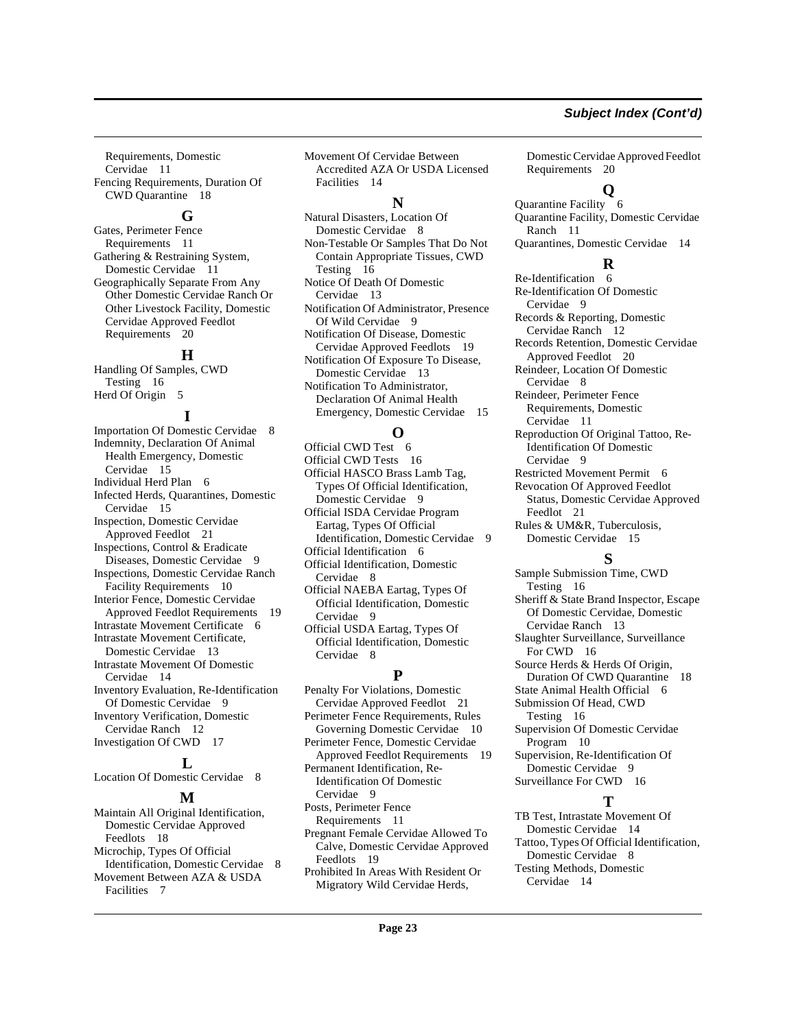Requirements, Domestic Cervidae [11](#page-10-5) Fencing Requirements, Duration Of CWD Quarantine [18](#page-17-9)

### **G**

Gates, Perimeter Fence Requirements [11](#page-10-6) Gathering & Restraining System, Domestic Cervidae [11](#page-10-7) Geographically Separate From Any Other Domestic Cervidae Ranch Or Other Livestock Facility, Domestic Cervidae Approved Feedlot Requirements [20](#page-19-12)

# **H**

Handling Of Samples, CWD Testing [16](#page-15-8) Herd Of Origin [5](#page-4-10)

# **I**

Importation Of Domestic Cervidae [8](#page-7-6) Indemnity, Declaration Of Animal Health Emergency, Domestic Cervidae [15](#page-14-11) Individual Herd Plan [6](#page-5-0) Infected Herds, Quarantines, Domestic Cervidae [15](#page-14-12) Inspection, Domestic Cervidae Approved Feedlot [21](#page-20-6) Inspections, Control & Eradicate Diseases, Domestic Cervidae [9](#page-8-5) Inspections, Domestic Cervidae Ranch Facility Requirements [10](#page-9-14) Interior Fence, Domestic Cervidae Approved Feedlot Requirements [19](#page-18-14) Intrastate Movement Certificate [6](#page-5-1) Intrastate Movement Certificate, Domestic Cervidae [13](#page-12-14) Intrastate Movement Of Domestic Cervidae [14](#page-13-10) Inventory Evaluation, Re-Identification Of Domestic Cervidae [9](#page-8-6) Inventory Verification, Domestic Cervidae Ranch [12](#page-11-6) Investigation Of CWD [17](#page-16-7)

## **L**

Location Of Domestic Cervidae [8](#page-7-7)

#### **M**

Maintain All Original Identification, Domestic Cervidae Approved Feedlots [18](#page-17-10) Microchip, Types Of Official Identification, Domestic Cervidae [8](#page-7-8) Movement Between AZA & USDA Facilities [7](#page-6-5)

Movement Of Cervidae Between Accredited AZA Or USDA Licensed Facilities [14](#page-13-11)

#### **N**

Natural Disasters, Location Of Domestic Cervidae [8](#page-7-9) Non-Testable Or Samples That Do Not Contain Appropriate Tissues, CWD Testing [16](#page-15-9) Notice Of Death Of Domestic Cervidae [13](#page-12-15) Notification Of Administrator, Presence Of Wild Cervidae [9](#page-8-7) Notification Of Disease, Domestic Cervidae Approved Feedlots [19](#page-18-15) Notification Of Exposure To Disease, Domestic Cervidae [13](#page-12-16) Notification To Administrator, Declaration Of Animal Health Emergency, Domestic Cervidae [15](#page-14-13)

# **O**

Official CWD Test [6](#page-5-2) Official CWD Tests [16](#page-15-10) Official HASCO Brass Lamb Tag, Types Of Official Identification, Domestic Cervidae [9](#page-8-8) Official ISDA Cervidae Program Eartag, Types Of Official Identification, Domestic Cervidae [9](#page-8-9) Official Identification [6](#page-5-3) Official Identification, Domestic Cervidae [8](#page-7-10) Official NAEBA Eartag, Types Of

Official Identification, Domestic Cervidae [9](#page-8-10)

Official USDA Eartag, Types Of Official Identification, Domestic Cervidae [8](#page-7-11)

#### **P**

Penalty For Violations, Domestic Cervidae Approved Feedlot [21](#page-20-7) Perimeter Fence Requirements, Rules Governing Domestic Cervidae [10](#page-9-15) Perimeter Fence, Domestic Cervidae Approved Feedlot Requirements [19](#page-18-16) Permanent Identification, Re-Identification Of Domestic Cervidae [9](#page-8-11) Posts, Perimeter Fence Requirements [11](#page-10-8) Pregnant Female Cervidae Allowed To

Calve, Domestic Cervidae Approved Feedlots [19](#page-18-17) Prohibited In Areas With Resident Or

Migratory Wild Cervidae Herds,

Domestic Cervidae Approved Feedlot Requirements [20](#page-19-13)

#### **Q**

Quarantine Facility [6](#page-5-4) Quarantine Facility, Domestic Cervidae Ranch [11](#page-10-9)

Quarantines, Domestic Cervidae [14](#page-13-12)

#### **R**

Re-Identification [6](#page-5-5) Re-Identification Of Domestic Cervidae [9](#page-8-12) Records & Reporting, Domestic Cervidae Ranch [12](#page-11-7) Records Retention, Domestic Cervidae Approved Feedlot [20](#page-19-14) Reindeer, Location Of Domestic Cervidae [8](#page-7-12) Reindeer, Perimeter Fence Requirements, Domestic Cervidae [11](#page-10-10) Reproduction Of Original Tattoo, Re-Identification Of Domestic Cervidae [9](#page-8-13) Restricted Movement Permit [6](#page-5-6) Revocation Of Approved Feedlot Status, Domestic Cervidae Approved

Feedlot [21](#page-20-8) Rules & UM&R, Tuberculosis,

Domestic Cervidae [15](#page-14-14)

**S**

Sample Submission Time, CWD Testing [16](#page-15-11) Sheriff & State Brand Inspector, Escape Of Domestic Cervidae, Domestic Cervidae Ranch [13](#page-12-17) Slaughter Surveillance, Surveillance For CWD [16](#page-15-12) Source Herds & Herds Of Origin, Duration Of CWD Quarantine [18](#page-17-11) State Animal Health Official [6](#page-5-7) Submission Of Head, CWD Testing [16](#page-15-13) Supervision Of Domestic Cervidae Program [10](#page-9-16) Supervision, Re-Identification Of Domestic Cervidae [9](#page-8-14) Surveillance For CWD [16](#page-15-14) **T**

TB Test, Intrastate Movement Of Domestic Cervidae [14](#page-13-13) Tattoo, Types Of Official Identification, Domestic Cervidae [8](#page-7-13) Testing Methods, Domestic Cervidae [14](#page-13-14)

# **Subject Index (Cont'd)**